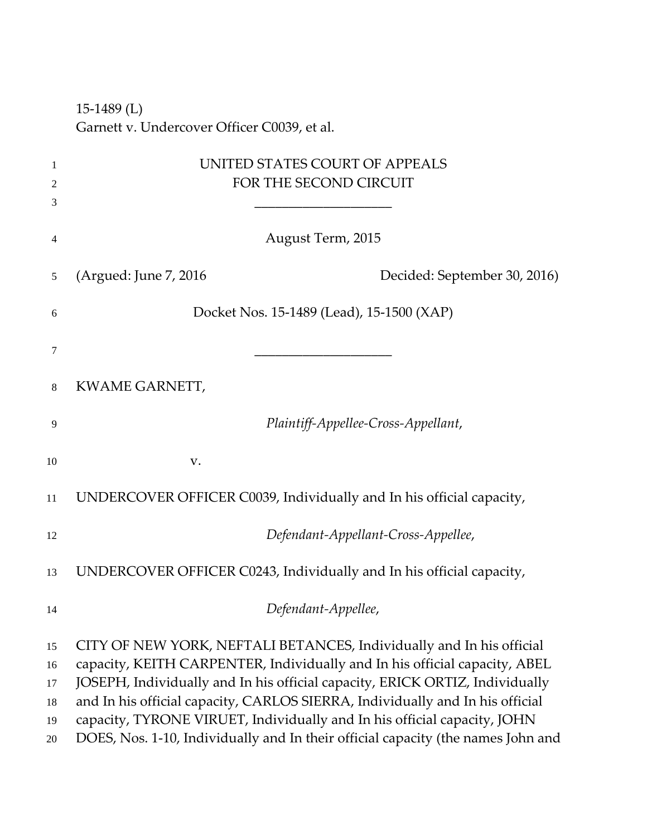‐1489 (L) Garnett v. Undercover Officer C0039, et al.

| 1<br>2<br>3                      | UNITED STATES COURT OF APPEALS<br>FOR THE SECOND CIRCUIT                                                                                                                                                                                                                                                                                                                                                                                                                            |
|----------------------------------|-------------------------------------------------------------------------------------------------------------------------------------------------------------------------------------------------------------------------------------------------------------------------------------------------------------------------------------------------------------------------------------------------------------------------------------------------------------------------------------|
| 4                                | August Term, 2015                                                                                                                                                                                                                                                                                                                                                                                                                                                                   |
| 5                                | (Argued: June 7, 2016)<br>Decided: September 30, 2016)                                                                                                                                                                                                                                                                                                                                                                                                                              |
| 6                                | Docket Nos. 15-1489 (Lead), 15-1500 (XAP)                                                                                                                                                                                                                                                                                                                                                                                                                                           |
| 7                                |                                                                                                                                                                                                                                                                                                                                                                                                                                                                                     |
| 8                                | KWAME GARNETT,                                                                                                                                                                                                                                                                                                                                                                                                                                                                      |
| 9                                | Plaintiff-Appellee-Cross-Appellant,                                                                                                                                                                                                                                                                                                                                                                                                                                                 |
| 10                               | V.                                                                                                                                                                                                                                                                                                                                                                                                                                                                                  |
| 11                               | UNDERCOVER OFFICER C0039, Individually and In his official capacity,                                                                                                                                                                                                                                                                                                                                                                                                                |
| 12                               | Defendant-Appellant-Cross-Appellee,                                                                                                                                                                                                                                                                                                                                                                                                                                                 |
| 13                               | UNDERCOVER OFFICER C0243, Individually and In his official capacity,                                                                                                                                                                                                                                                                                                                                                                                                                |
| 14                               | Defendant-Appellee,                                                                                                                                                                                                                                                                                                                                                                                                                                                                 |
| 15<br>16<br>17<br>18<br>19<br>20 | CITY OF NEW YORK, NEFTALI BETANCES, Individually and In his official<br>capacity, KEITH CARPENTER, Individually and In his official capacity, ABEL<br>JOSEPH, Individually and In his official capacity, ERICK ORTIZ, Individually<br>and In his official capacity, CARLOS SIERRA, Individually and In his official<br>capacity, TYRONE VIRUET, Individually and In his official capacity, JOHN<br>DOES, Nos. 1-10, Individually and In their official capacity (the names John and |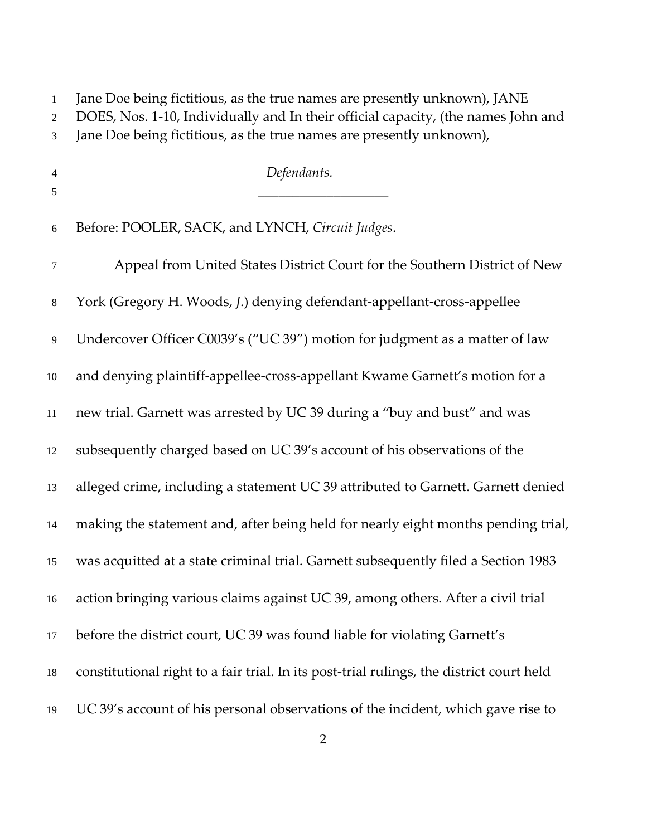Jane Doe being fictitious, as the true names are presently unknown), JANE

DOES, Nos. 1‐10, Individually and In their official capacity, (the names John and

| Jane Doe being fictitious, as the true names are presently unknown), |  |
|----------------------------------------------------------------------|--|
|                                                                      |  |

 *Defendants.* Before: POOLER, SACK, and LYNCH, *Circuit Judges*. Appeal from United States District Court for the Southern District of New York (Gregory H. Woods, *J*.) denying defendant‐appellant‐cross‐appellee Undercover Officer C0039's ("UC 39") motion for judgment as a matter of law 10 and denying plaintiff-appellee-cross-appellant Kwame Garnett's motion for a new trial. Garnett was arrested by UC 39 during a "buy and bust" and was subsequently charged based on UC 39's account of his observations of the alleged crime, including a statement UC 39 attributed to Garnett. Garnett denied making the statement and, after being held for nearly eight months pending trial, was acquitted at a state criminal trial. Garnett subsequently filed a Section 1983 action bringing various claims against UC 39, among others. After a civil trial before the district court, UC 39 was found liable for violating Garnett's constitutional right to a fair trial. In its post‐trial rulings, the district court held UC 39's account of his personal observations of the incident, which gave rise to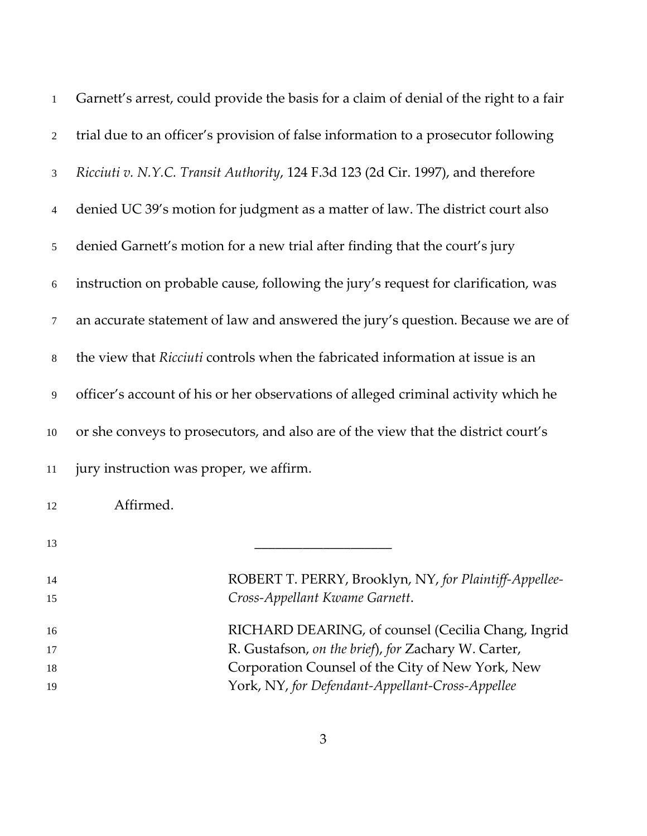| $\mathbf{1}$   | Garnett's arrest, could provide the basis for a claim of denial of the right to a fair |
|----------------|----------------------------------------------------------------------------------------|
| $\overline{2}$ | trial due to an officer's provision of false information to a prosecutor following     |
| 3              | Ricciuti v. N.Y.C. Transit Authority, 124 F.3d 123 (2d Cir. 1997), and therefore       |
| $\overline{4}$ | denied UC 39's motion for judgment as a matter of law. The district court also         |
| 5              | denied Garnett's motion for a new trial after finding that the court's jury            |
| 6              | instruction on probable cause, following the jury's request for clarification, was     |
| 7              | an accurate statement of law and answered the jury's question. Because we are of       |
| $8\phantom{.}$ | the view that Ricciuti controls when the fabricated information at issue is an         |
| 9              | officer's account of his or her observations of alleged criminal activity which he     |
| 10             | or she conveys to prosecutors, and also are of the view that the district court's      |
| 11             | jury instruction was proper, we affirm.                                                |
| 12             | Affirmed.                                                                              |
| 13             |                                                                                        |
| 14             | ROBERT T. PERRY, Brooklyn, NY, for Plaintiff-Appellee-                                 |
| 15             | Cross-Appellant Kwame Garnett.                                                         |
| 16             | RICHARD DEARING, of counsel (Cecilia Chang, Ingrid                                     |
| 17             | R. Gustafson, on the brief), for Zachary W. Carter,                                    |
| 18             | Corporation Counsel of the City of New York, New                                       |
| 19             | York, NY, for Defendant-Appellant-Cross-Appellee                                       |
|                |                                                                                        |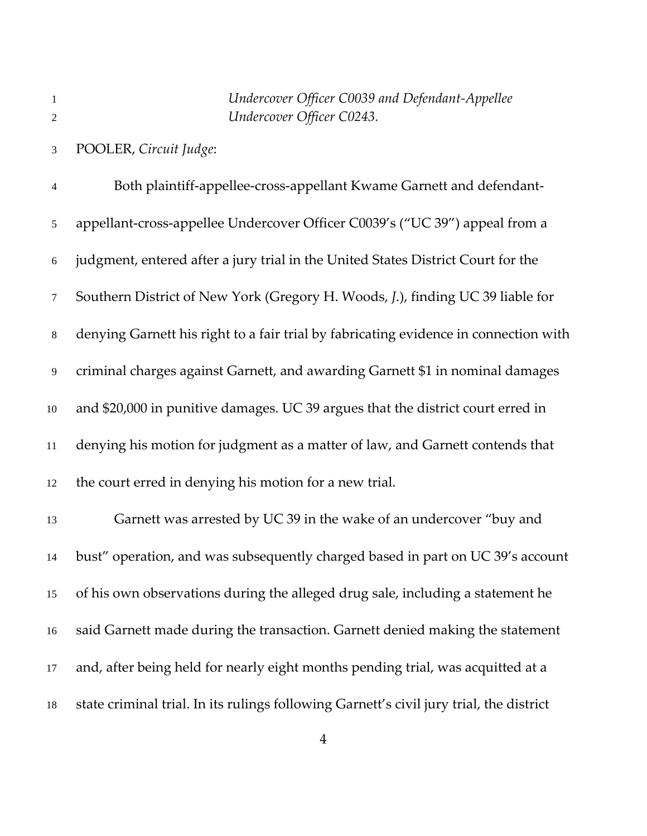POOLER, *Circuit Judge*:

Both plaintiff‐appellee‐cross‐appellant Kwame Garnett and defendant‐ 5 appellant-cross-appellee Undercover Officer C0039's ("UC 39") appeal from a judgment, entered after a jury trial in the United States District Court for the Southern District of New York (Gregory H. Woods, *J*.), finding UC 39 liable for denying Garnett his right to a fair trial by fabricating evidence in connection with criminal charges against Garnett, and awarding Garnett \$1 in nominal damages and \$20,000 in punitive damages. UC 39 argues that the district court erred in denying his motion for judgment as a matter of law, and Garnett contends that the court erred in denying his motion for a new trial. Garnett was arrested by UC 39 in the wake of an undercover "buy and bust" operation, and was subsequently charged based in part on UC 39's account of his own observations during the alleged drug sale, including a statement he said Garnett made during the transaction. Garnett denied making the statement and, after being held for nearly eight months pending trial, was acquitted at a state criminal trial. In its rulings following Garnett's civil jury trial, the district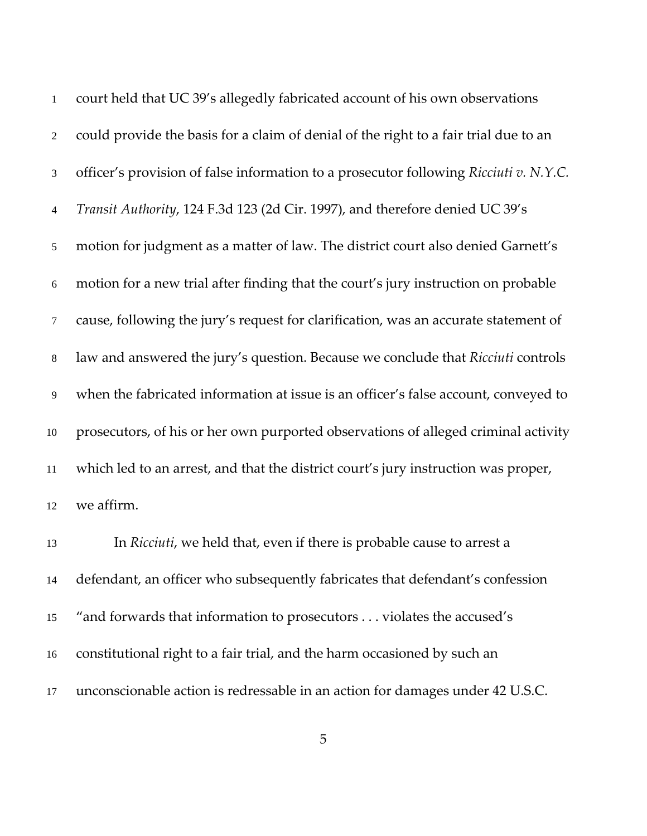| $\mathbf{1}$   | court held that UC 39's allegedly fabricated account of his own observations          |
|----------------|---------------------------------------------------------------------------------------|
| 2              | could provide the basis for a claim of denial of the right to a fair trial due to an  |
| 3              | officer's provision of false information to a prosecutor following Ricciuti v. N.Y.C. |
| $\overline{4}$ | Transit Authority, 124 F.3d 123 (2d Cir. 1997), and therefore denied UC 39's          |
| 5              | motion for judgment as a matter of law. The district court also denied Garnett's      |
| 6              | motion for a new trial after finding that the court's jury instruction on probable    |
| $\tau$         | cause, following the jury's request for clarification, was an accurate statement of   |
| 8              | law and answered the jury's question. Because we conclude that Ricciuti controls      |
| 9              | when the fabricated information at issue is an officer's false account, conveyed to   |
| 10             | prosecutors, of his or her own purported observations of alleged criminal activity    |
| 11             | which led to an arrest, and that the district court's jury instruction was proper,    |
| 12             | we affirm.                                                                            |
|                |                                                                                       |

In *Ricciuti*, we held that, even if there is probable cause to arrest a defendant, an officer who subsequently fabricates that defendant's confession "and forwards that information to prosecutors . . . violates the accused's constitutional right to a fair trial, and the harm occasioned by such an unconscionable action is redressable in an action for damages under 42 U.S.C.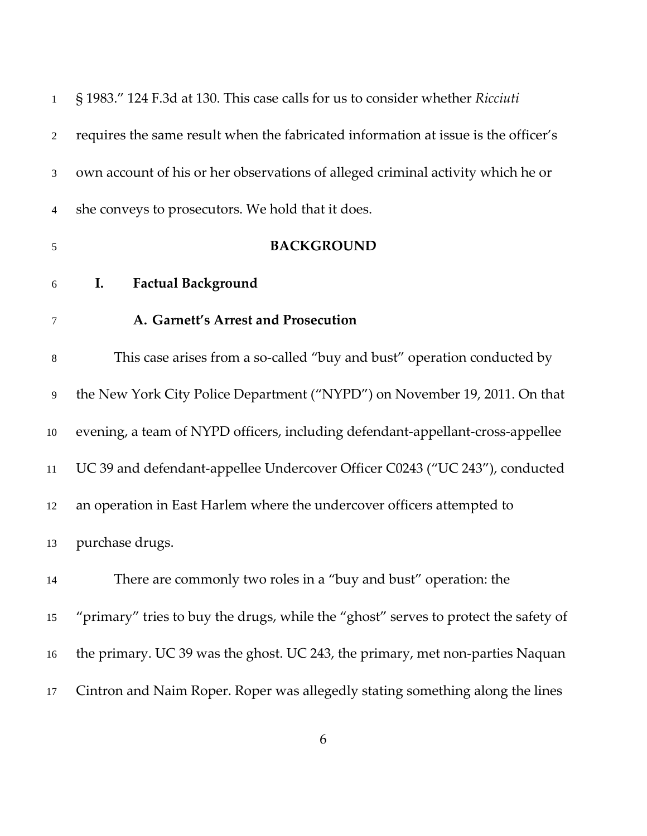| $\mathbf{1}$     | § 1983." 124 F.3d at 130. This case calls for us to consider whether Ricciuti       |
|------------------|-------------------------------------------------------------------------------------|
| 2                | requires the same result when the fabricated information at issue is the officer's  |
| 3                | own account of his or her observations of alleged criminal activity which he or     |
| 4                | she conveys to prosecutors. We hold that it does.                                   |
| $\sqrt{5}$       | <b>BACKGROUND</b>                                                                   |
| $\boldsymbol{6}$ | <b>Factual Background</b><br>I.                                                     |
| $\tau$           | A. Garnett's Arrest and Prosecution                                                 |
| $\,8\,$          | This case arises from a so-called "buy and bust" operation conducted by             |
| 9                | the New York City Police Department ("NYPD") on November 19, 2011. On that          |
| 10               | evening, a team of NYPD officers, including defendant-appellant-cross-appellee      |
| 11               | UC 39 and defendant-appellee Undercover Officer C0243 ("UC 243"), conducted         |
| 12               | an operation in East Harlem where the undercover officers attempted to              |
| 13               | purchase drugs.                                                                     |
| 14               | There are commonly two roles in a "buy and bust" operation: the                     |
| 15               | "primary" tries to buy the drugs, while the "ghost" serves to protect the safety of |
| 16               | the primary. UC 39 was the ghost. UC 243, the primary, met non-parties Naquan       |
| 17               | Cintron and Naim Roper. Roper was allegedly stating something along the lines       |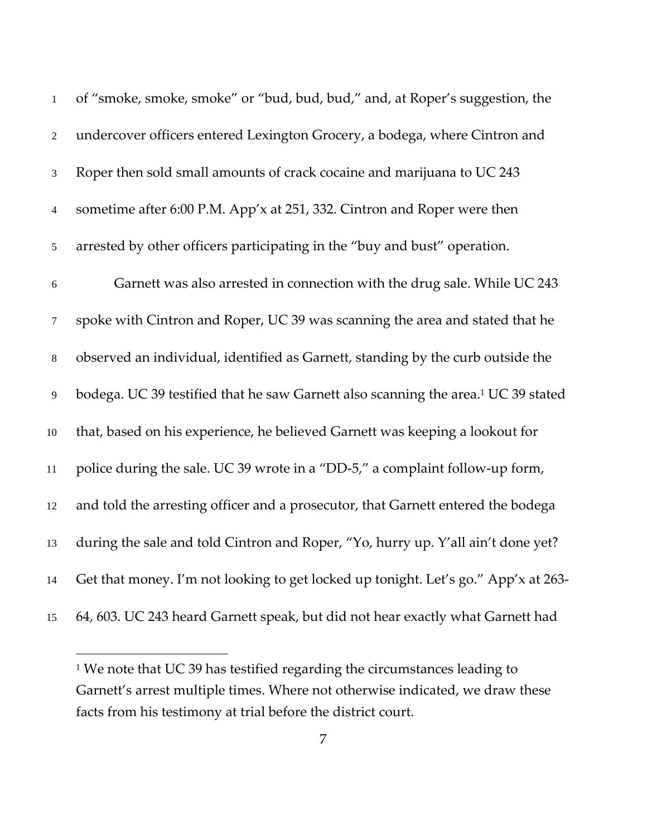| $\mathbf{1}$   | of "smoke, smoke, smoke" or "bud, bud, bud," and, at Roper's suggestion, the                  |
|----------------|-----------------------------------------------------------------------------------------------|
| $\sqrt{2}$     | undercover officers entered Lexington Grocery, a bodega, where Cintron and                    |
| 3              | Roper then sold small amounts of crack cocaine and marijuana to UC 243                        |
| $\overline{4}$ | sometime after 6:00 P.M. App'x at 251, 332. Cintron and Roper were then                       |
| $\sqrt{5}$     | arrested by other officers participating in the "buy and bust" operation.                     |
| $\sqrt{6}$     | Garnett was also arrested in connection with the drug sale. While UC 243                      |
| $\tau$         | spoke with Cintron and Roper, UC 39 was scanning the area and stated that he                  |
| $\,8\,$        | observed an individual, identified as Garnett, standing by the curb outside the               |
| $\overline{9}$ | bodega. UC 39 testified that he saw Garnett also scanning the area. <sup>1</sup> UC 39 stated |
| $10\,$         | that, based on his experience, he believed Garnett was keeping a lookout for                  |
| $11\,$         | police during the sale. UC 39 wrote in a "DD-5," a complaint follow-up form,                  |
| 12             | and told the arresting officer and a prosecutor, that Garnett entered the bodega              |
| 13             | during the sale and told Cintron and Roper, "Yo, hurry up. Y'all ain't done yet?              |
| 14             | Get that money. I'm not looking to get locked up tonight. Let's go." App'x at 263-            |
| 15             | 64, 603. UC 243 heard Garnett speak, but did not hear exactly what Garnett had                |

<sup>&</sup>lt;sup>1</sup> We note that UC 39 has testified regarding the circumstances leading to Garnett's arrest multiple times. Where not otherwise indicated, we draw these facts from his testimony at trial before the district court.

 $\overline{a}$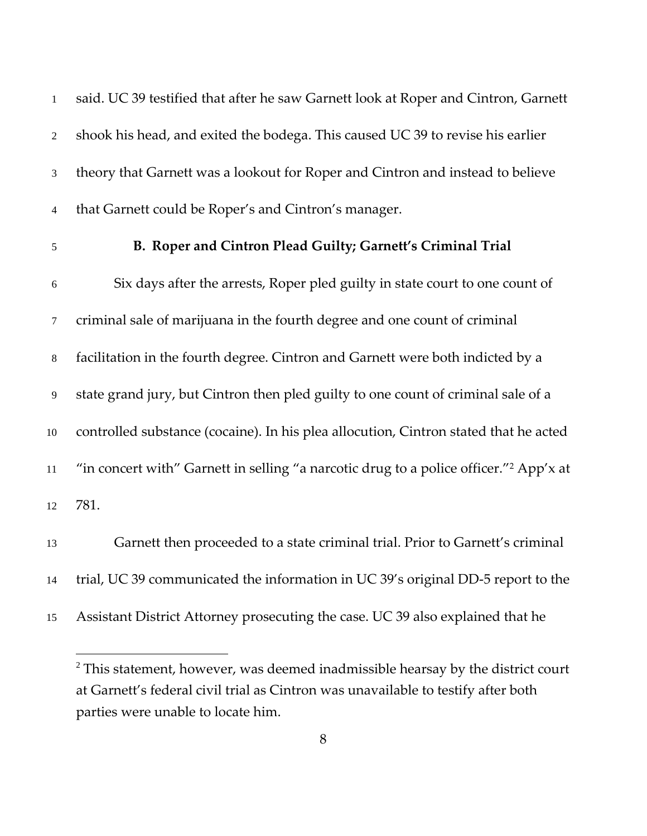said. UC 39 testified that after he saw Garnett look at Roper and Cintron, Garnett shook his head, and exited the bodega. This caused UC 39 to revise his earlier theory that Garnett was a lookout for Roper and Cintron and instead to believe that Garnett could be Roper's and Cintron's manager.

 $\overline{a}$ 

#### **B. Roper and Cintron Plead Guilty; Garnett's Criminal Trial**

Six days after the arrests, Roper pled guilty in state court to one count of criminal sale of marijuana in the fourth degree and one count of criminal facilitation in the fourth degree. Cintron and Garnett were both indicted by a state grand jury, but Cintron then pled guilty to one count of criminal sale of a controlled substance (cocaine). In his plea allocution, Cintron stated that he acted "in concert with" Garnett in selling "a narcotic drug to a police officer."<sup>2</sup> App'x at 781.

Garnett then proceeded to a state criminal trial. Prior to Garnett's criminal 14 trial, UC 39 communicated the information in UC 39's original DD-5 report to the

Assistant District Attorney prosecuting the case. UC 39 also explained that he

 This statement, however, was deemed inadmissible hearsay by the district court at Garnett's federal civil trial as Cintron was unavailable to testify after both parties were unable to locate him.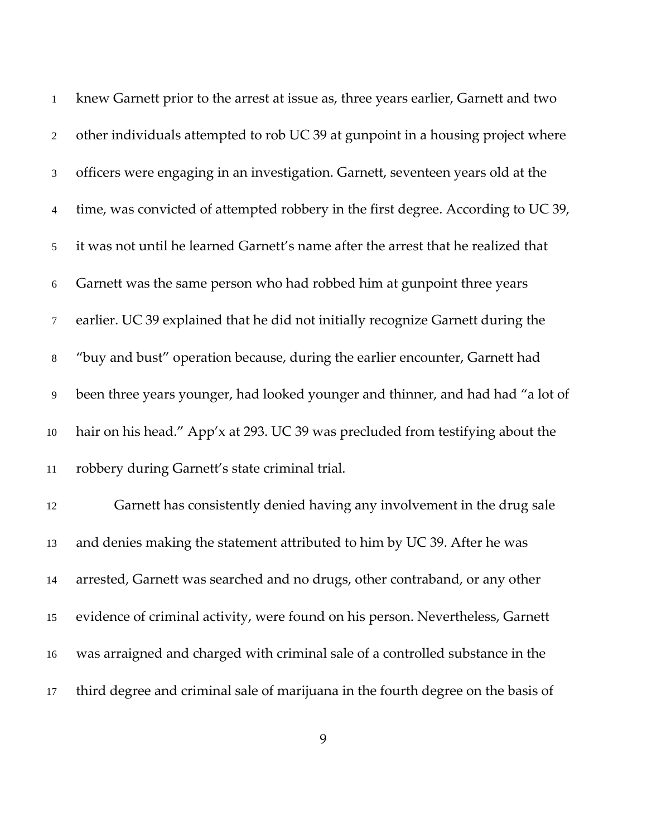| $\mathbf{1}$   | knew Garnett prior to the arrest at issue as, three years earlier, Garnett and two |
|----------------|------------------------------------------------------------------------------------|
| $\overline{2}$ | other individuals attempted to rob UC 39 at gunpoint in a housing project where    |
| $\mathfrak{Z}$ | officers were engaging in an investigation. Garnett, seventeen years old at the    |
| $\overline{4}$ | time, was convicted of attempted robbery in the first degree. According to UC 39,  |
| 5              | it was not until he learned Garnett's name after the arrest that he realized that  |
| 6              | Garnett was the same person who had robbed him at gunpoint three years             |
| $\tau$         | earlier. UC 39 explained that he did not initially recognize Garnett during the    |
| $8\,$          | "buy and bust" operation because, during the earlier encounter, Garnett had        |
| 9              | been three years younger, had looked younger and thinner, and had had "a lot of    |
| $10\,$         | hair on his head." App'x at 293. UC 39 was precluded from testifying about the     |
| 11             | robbery during Garnett's state criminal trial.                                     |
| 12             | Garnett has consistently denied having any involvement in the drug sale            |
| 13             | and denies making the statement attributed to him by UC 39. After he was           |
| 14             | arrested, Garnett was searched and no drugs, other contraband, or any other        |
| 15             | evidence of criminal activity, were found on his person. Nevertheless, Garnett     |
| 16             | was arraigned and charged with criminal sale of a controlled substance in the      |
| 17             | third degree and criminal sale of marijuana in the fourth degree on the basis of   |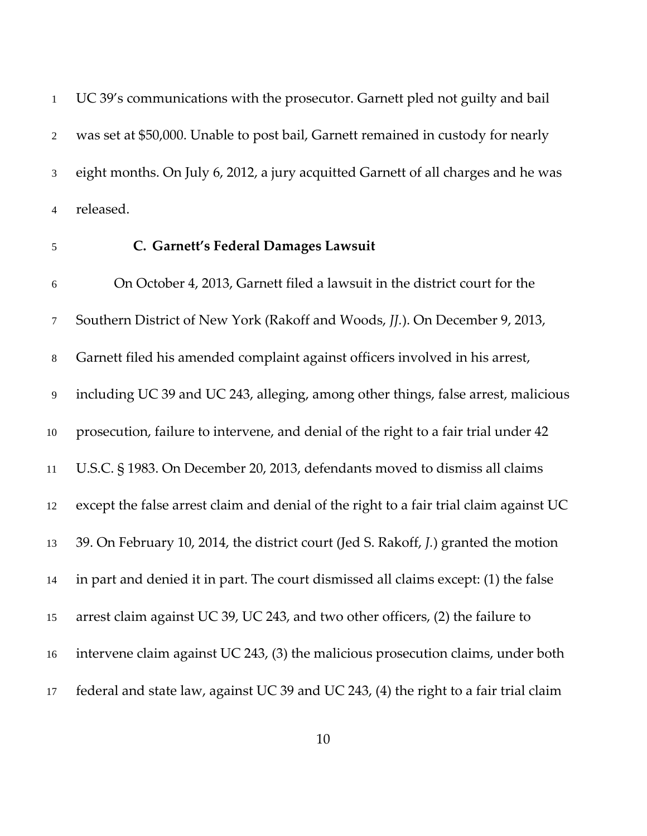UC 39's communications with the prosecutor. Garnett pled not guilty and bail was set at \$50,000. Unable to post bail, Garnett remained in custody for nearly eight months. On July 6, 2012, a jury acquitted Garnett of all charges and he was released.

#### **C. Garnett's Federal Damages Lawsuit**

On October 4, 2013, Garnett filed a lawsuit in the district court for the Southern District of New York (Rakoff and Woods, *JJ.*). On December 9, 2013, Garnett filed his amended complaint against officers involved in his arrest, including UC 39 and UC 243, alleging, among other things, false arrest, malicious prosecution, failure to intervene, and denial of the right to a fair trial under 42 U.S.C. § 1983. On December 20, 2013, defendants moved to dismiss all claims except the false arrest claim and denial of the right to a fair trial claim against UC 39. On February 10, 2014, the district court (Jed S. Rakoff, *J.*) granted the motion in part and denied it in part. The court dismissed all claims except: (1) the false arrest claim against UC 39, UC 243, and two other officers, (2) the failure to intervene claim against UC 243, (3) the malicious prosecution claims, under both federal and state law, against UC 39 and UC 243, (4) the right to a fair trial claim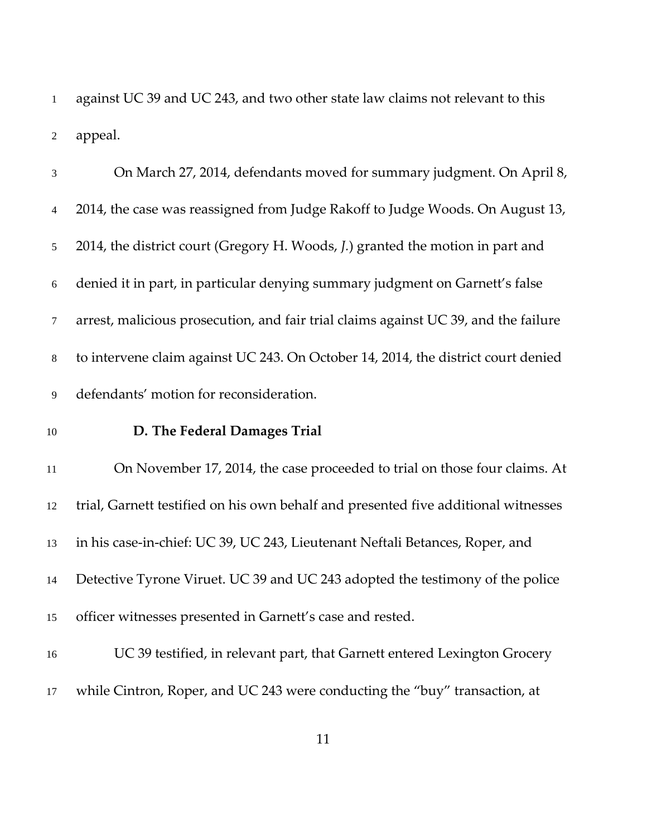against UC 39 and UC 243, and two other state law claims not relevant to this appeal.

| $\mathfrak{Z}$ | On March 27, 2014, defendants moved for summary judgment. On April 8,               |
|----------------|-------------------------------------------------------------------------------------|
| $\overline{4}$ | 2014, the case was reassigned from Judge Rakoff to Judge Woods. On August 13,       |
| 5              | 2014, the district court (Gregory H. Woods, J.) granted the motion in part and      |
| $\sqrt{6}$     | denied it in part, in particular denying summary judgment on Garnett's false        |
| $\tau$         | arrest, malicious prosecution, and fair trial claims against UC 39, and the failure |
| $8\,$          | to intervene claim against UC 243. On October 14, 2014, the district court denied   |
| 9              | defendants' motion for reconsideration.                                             |
| $10\,$         | D. The Federal Damages Trial                                                        |
| $11\,$         | On November 17, 2014, the case proceeded to trial on those four claims. At          |
| 12             | trial, Garnett testified on his own behalf and presented five additional witnesses  |
| 13             | in his case-in-chief: UC 39, UC 243, Lieutenant Neftali Betances, Roper, and        |
| 14             | Detective Tyrone Viruet. UC 39 and UC 243 adopted the testimony of the police       |
| 15             | officer witnesses presented in Garnett's case and rested.                           |
| 16             | UC 39 testified, in relevant part, that Garnett entered Lexington Grocery           |
| 17             | while Cintron, Roper, and UC 243 were conducting the "buy" transaction, at          |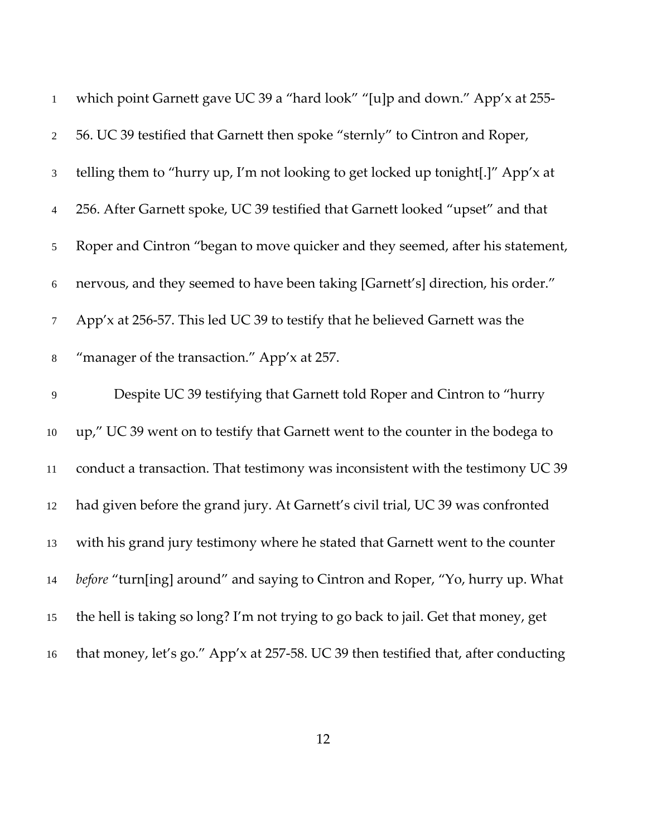| $\mathbf{1}$   | which point Garnett gave UC 39 a "hard look" "[u]p and down." App'x at 255-         |
|----------------|-------------------------------------------------------------------------------------|
| $\overline{2}$ | 56. UC 39 testified that Garnett then spoke "sternly" to Cintron and Roper,         |
| 3              | telling them to "hurry up, I'm not looking to get locked up tonight[.]" App'x at    |
| $\overline{4}$ | 256. After Garnett spoke, UC 39 testified that Garnett looked "upset" and that      |
| 5              | Roper and Cintron "began to move quicker and they seemed, after his statement,      |
| 6              | nervous, and they seemed to have been taking [Garnett's] direction, his order."     |
| $\tau$         | App'x at 256-57. This led UC 39 to testify that he believed Garnett was the         |
| $\,8\,$        | "manager of the transaction." App'x at 257.                                         |
| $\overline{9}$ | Despite UC 39 testifying that Garnett told Roper and Cintron to "hurry              |
| $10\,$         | up," UC 39 went on to testify that Garnett went to the counter in the bodega to     |
| $11\,$         | conduct a transaction. That testimony was inconsistent with the testimony UC 39     |
| 12             | had given before the grand jury. At Garnett's civil trial, UC 39 was confronted     |
| 13             | with his grand jury testimony where he stated that Garnett went to the counter      |
| 14             | before "turn[ing] around" and saying to Cintron and Roper, "Yo, hurry up. What      |
| 15             | the hell is taking so long? I'm not trying to go back to jail. Get that money, get  |
| 16             | that money, let's go." App'x at 257-58. UC 39 then testified that, after conducting |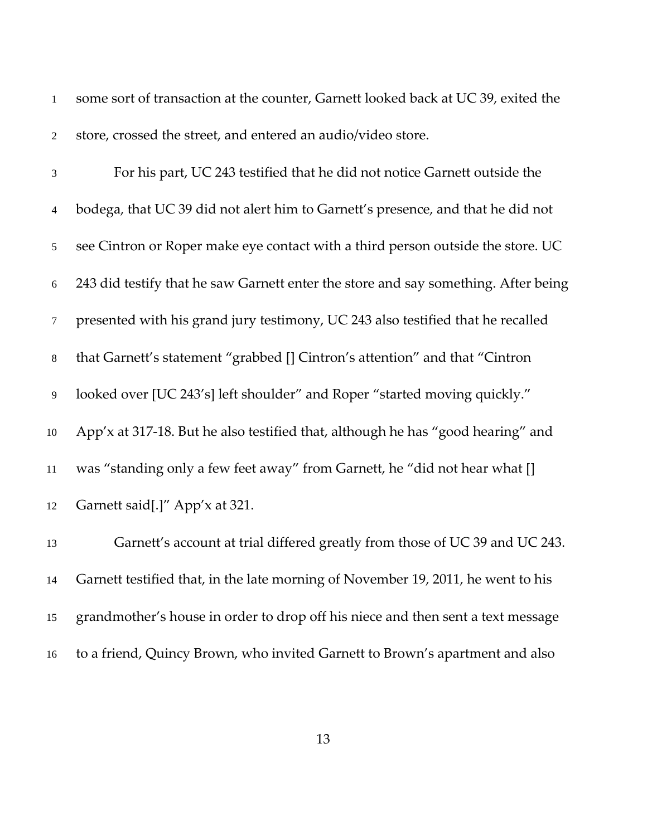|   | some sort of transaction at the counter, Garnett looked back at UC 39, exited the |
|---|-----------------------------------------------------------------------------------|
| 2 | store, crossed the street, and entered an audio/video store.                      |

| $\overline{3}$  | For his part, UC 243 testified that he did not notice Garnett outside the          |
|-----------------|------------------------------------------------------------------------------------|
| $\overline{4}$  | bodega, that UC 39 did not alert him to Garnett's presence, and that he did not    |
| 5 <sup>5</sup>  | see Cintron or Roper make eye contact with a third person outside the store. UC    |
| 6               | 243 did testify that he saw Garnett enter the store and say something. After being |
| $7\overline{ }$ | presented with his grand jury testimony, UC 243 also testified that he recalled    |
| 8               | that Garnett's statement "grabbed [] Cintron's attention" and that "Cintron        |
| 9               | looked over [UC 243's] left shoulder" and Roper "started moving quickly."          |
| 10              | App'x at 317-18. But he also testified that, although he has "good hearing" and    |
| 11              | was "standing only a few feet away" from Garnett, he "did not hear what []         |
| 12              | Garnett said[.]" App'x at 321.                                                     |

Garnett's account at trial differed greatly from those of UC 39 and UC 243. Garnett testified that, in the late morning of November 19, 2011, he went to his grandmother's house in order to drop off his niece and then sent a text message to a friend, Quincy Brown, who invited Garnett to Brown's apartment and also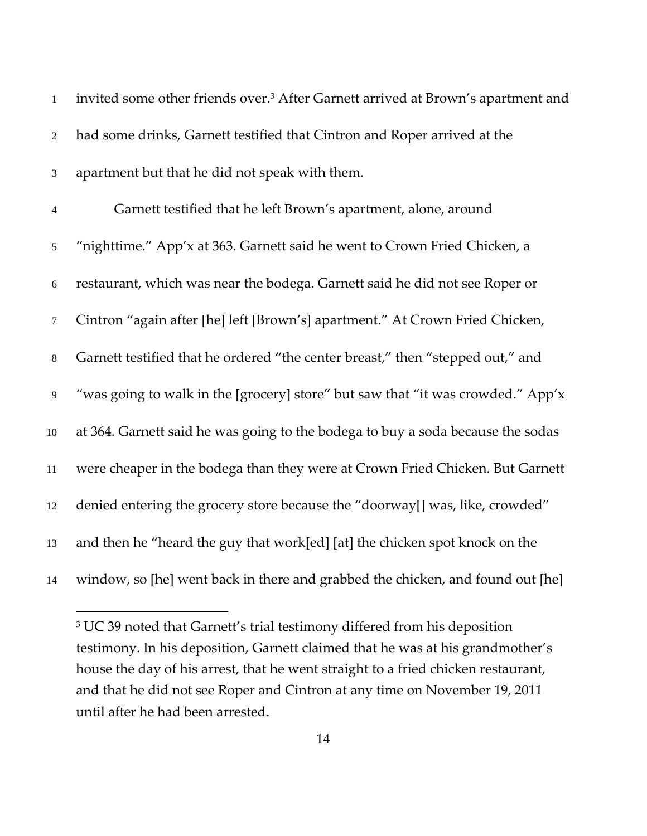| $\mathbf{1}$   | invited some other friends over. <sup>3</sup> After Garnett arrived at Brown's apartment and |
|----------------|----------------------------------------------------------------------------------------------|
| $\overline{2}$ | had some drinks, Garnett testified that Cintron and Roper arrived at the                     |
| $\mathfrak{Z}$ | apartment but that he did not speak with them.                                               |
| $\overline{4}$ | Garnett testified that he left Brown's apartment, alone, around                              |
| $\mathfrak{S}$ | "nighttime." App'x at 363. Garnett said he went to Crown Fried Chicken, a                    |
| $\sqrt{6}$     | restaurant, which was near the bodega. Garnett said he did not see Roper or                  |
| $\tau$         | Cintron "again after [he] left [Brown's] apartment." At Crown Fried Chicken,                 |
| $\,8\,$        | Garnett testified that he ordered "the center breast," then "stepped out," and               |
| 9              | "was going to walk in the [grocery] store" but saw that "it was crowded." App'x              |
| $10\,$         | at 364. Garnett said he was going to the bodega to buy a soda because the sodas              |
| $11\,$         | were cheaper in the bodega than they were at Crown Fried Chicken. But Garnett                |
| $12\,$         | denied entering the grocery store because the "doorway[] was, like, crowded"                 |
| 13             | and then he "heard the guy that work[ed] [at] the chicken spot knock on the                  |
| 14             | window, so [he] went back in there and grabbed the chicken, and found out [he]               |

 $\overline{a}$ 

<sup>&</sup>lt;sup>3</sup> UC 39 noted that Garnett's trial testimony differed from his deposition testimony. In his deposition, Garnett claimed that he was at his grandmother's house the day of his arrest, that he went straight to a fried chicken restaurant, and that he did not see Roper and Cintron at any time on November 19, 2011 until after he had been arrested.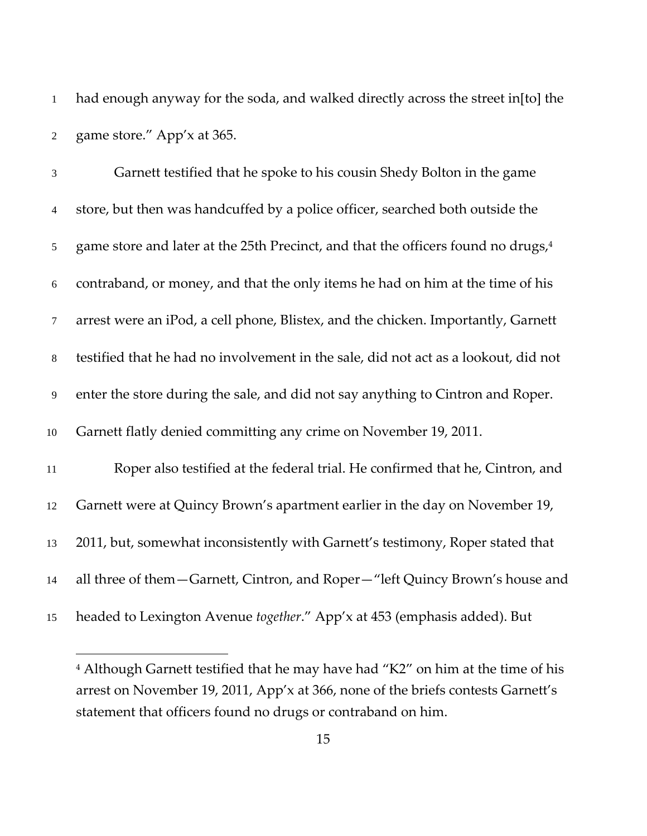had enough anyway for the soda, and walked directly across the street in[to] the game store." App'x at 365.

Garnett testified that he spoke to his cousin Shedy Bolton in the game store, but then was handcuffed by a police officer, searched both outside the 5 game store and later at the 25th Precinct, and that the officers found no drugs,contraband, or money, and that the only items he had on him at the time of his arrest were an iPod, a cell phone, Blistex, and the chicken. Importantly, Garnett testified that he had no involvement in the sale, did not act as a lookout, did not enter the store during the sale, and did not say anything to Cintron and Roper. Garnett flatly denied committing any crime on November 19, 2011. Roper also testified at the federal trial. He confirmed that he, Cintron, and Garnett were at Quincy Brown's apartment earlier in the day on November 19, 2011, but, somewhat inconsistently with Garnett's testimony, Roper stated that all three of them—Garnett, Cintron, and Roper—"left Quincy Brown's house and headed to Lexington Avenue *together*." App'x at 453 (emphasis added). But

 $\overline{a}$ 

 Although Garnett testified that he may have had "K2" on him at the time of his arrest on November 19, 2011, App'x at 366, none of the briefs contests Garnett's statement that officers found no drugs or contraband on him.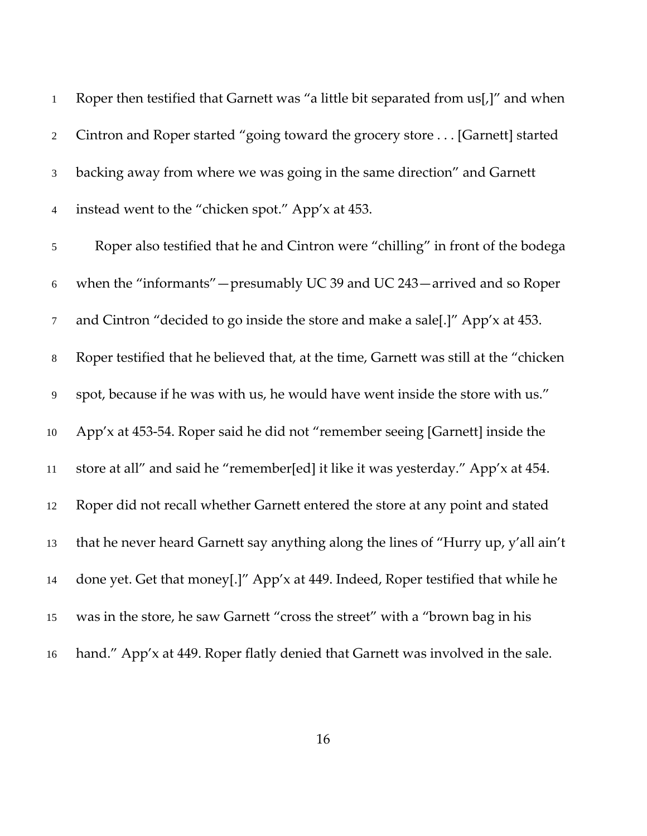| $\mathbf{1}$   | Roper then testified that Garnett was "a little bit separated from us[,]" and when    |
|----------------|---------------------------------------------------------------------------------------|
| $\overline{2}$ | Cintron and Roper started "going toward the grocery store [Garnett] started           |
| $\mathfrak{Z}$ | backing away from where we was going in the same direction" and Garnett               |
| $\overline{4}$ | instead went to the "chicken spot." App'x at 453.                                     |
| 5              | Roper also testified that he and Cintron were "chilling" in front of the bodega       |
| $\sqrt{6}$     | when the "informants" – presumably UC 39 and UC 243 – arrived and so Roper            |
| $\tau$         | and Cintron "decided to go inside the store and make a sale[.]" App'x at 453.         |
| $8\,$          | Roper testified that he believed that, at the time, Garnett was still at the "chicken |
| 9              | spot, because if he was with us, he would have went inside the store with us."        |
| 10             | App'x at 453-54. Roper said he did not "remember seeing [Garnett] inside the          |
| 11             | store at all" and said he "remember[ed] it like it was yesterday." App'x at 454.      |
| 12             | Roper did not recall whether Garnett entered the store at any point and stated        |
| 13             | that he never heard Garnett say anything along the lines of "Hurry up, y'all ain't    |
| 14             | done yet. Get that money[.]" App'x at 449. Indeed, Roper testified that while he      |
| 15             | was in the store, he saw Garnett "cross the street" with a "brown bag in his          |
| 16             | hand." App'x at 449. Roper flatly denied that Garnett was involved in the sale.       |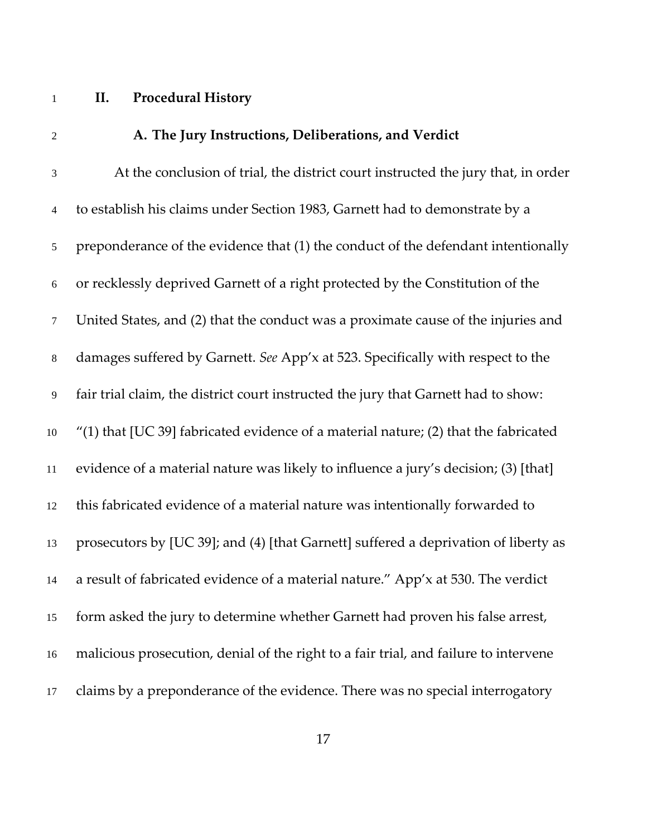## **II. Procedural History**

| $\overline{2}$ | A. The Jury Instructions, Deliberations, and Verdict                                   |
|----------------|----------------------------------------------------------------------------------------|
| $\mathfrak{Z}$ | At the conclusion of trial, the district court instructed the jury that, in order      |
| $\overline{4}$ | to establish his claims under Section 1983, Garnett had to demonstrate by a            |
| $\mathfrak{S}$ | preponderance of the evidence that (1) the conduct of the defendant intentionally      |
| $\sqrt{6}$     | or recklessly deprived Garnett of a right protected by the Constitution of the         |
| $\tau$         | United States, and (2) that the conduct was a proximate cause of the injuries and      |
| $8\,$          | damages suffered by Garnett. See App'x at 523. Specifically with respect to the        |
| 9              | fair trial claim, the district court instructed the jury that Garnett had to show:     |
| 10             | $''(1)$ that [UC 39] fabricated evidence of a material nature; (2) that the fabricated |
| 11             | evidence of a material nature was likely to influence a jury's decision; (3) [that]    |
| 12             | this fabricated evidence of a material nature was intentionally forwarded to           |
| 13             | prosecutors by [UC 39]; and (4) [that Garnett] suffered a deprivation of liberty as    |
| 14             | a result of fabricated evidence of a material nature." App'x at 530. The verdict       |
| 15             | form asked the jury to determine whether Garnett had proven his false arrest,          |
| 16             | malicious prosecution, denial of the right to a fair trial, and failure to intervene   |
| 17             | claims by a preponderance of the evidence. There was no special interrogatory          |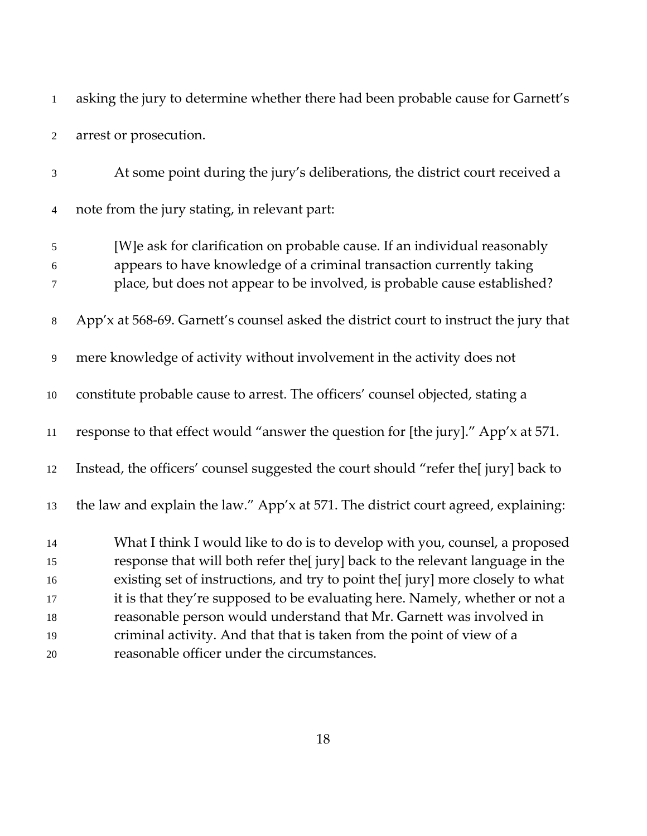asking the jury to determine whether there had been probable cause for Garnett's arrest or prosecution.

At some point during the jury's deliberations, the district court received a note from the jury stating, in relevant part: [W]e ask for clarification on probable cause. If an individual reasonably appears to have knowledge of a criminal transaction currently taking place, but does not appear to be involved, is probable cause established? App'x at 568‐69. Garnett's counsel asked the district court to instruct the jury that mere knowledge of activity without involvement in the activity does not constitute probable cause to arrest. The officers' counsel objected, stating a response to that effect would "answer the question for [the jury]." App'x at 571. Instead, the officers' counsel suggested the court should "refer the[ jury] back to the law and explain the law." App'x at 571. The district court agreed, explaining: What I think I would like to do is to develop with you, counsel, a proposed response that will both refer the[ jury] back to the relevant language in the existing set of instructions, and try to point the[ jury] more closely to what it is that they're supposed to be evaluating here. Namely, whether or not a reasonable person would understand that Mr. Garnett was involved in criminal activity. And that that is taken from the point of view of a reasonable officer under the circumstances.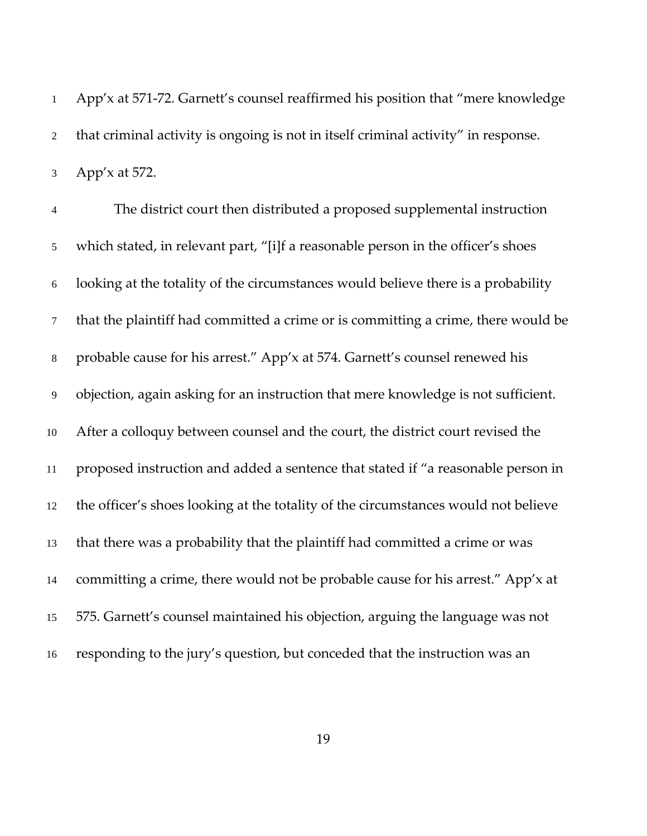App'x at 571‐72. Garnett's counsel reaffirmed his position that "mere knowledge that criminal activity is ongoing is not in itself criminal activity" in response. App'x at 572.

The district court then distributed a proposed supplemental instruction which stated, in relevant part, "[i]f a reasonable person in the officer's shoes looking at the totality of the circumstances would believe there is a probability that the plaintiff had committed a crime or is committing a crime, there would be probable cause for his arrest." App'x at 574. Garnett's counsel renewed his objection, again asking for an instruction that mere knowledge is not sufficient. After a colloquy between counsel and the court, the district court revised the proposed instruction and added a sentence that stated if "a reasonable person in the officer's shoes looking at the totality of the circumstances would not believe that there was a probability that the plaintiff had committed a crime or was committing a crime, there would not be probable cause for his arrest." App'x at 575. Garnett's counsel maintained his objection, arguing the language was not responding to the jury's question, but conceded that the instruction was an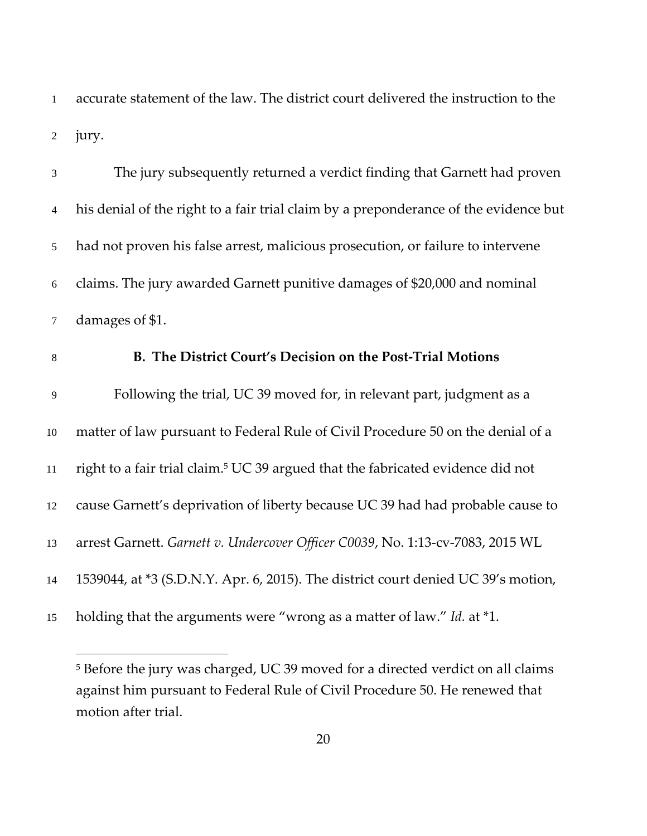accurate statement of the law. The district court delivered the instruction to the jury.

The jury subsequently returned a verdict finding that Garnett had proven his denial of the right to a fair trial claim by a preponderance of the evidence but had not proven his false arrest, malicious prosecution, or failure to intervene claims. The jury awarded Garnett punitive damages of \$20,000 and nominal damages of \$1. **B. The District Court's Decision on the Post‐Trial Motions** Following the trial, UC 39 moved for, in relevant part, judgment as a matter of law pursuant to Federal Rule of Civil Procedure 50 on the denial of a 11 right to a fair trial claim.<sup>5</sup> UC 39 argued that the fabricated evidence did not cause Garnett's deprivation of liberty because UC 39 had had probable cause to arrest Garnett. *Garnett v. Undercover Officer C0039*, No. 1:13‐cv‐7083, 2015 WL 1539044, at \*3 (S.D.N.Y. Apr. 6, 2015). The district court denied UC 39's motion, holding that the arguments were "wrong as a matter of law." *Id.* at \*1.

 $\overline{a}$ 

 Before the jury was charged, UC 39 moved for a directed verdict on all claims against him pursuant to Federal Rule of Civil Procedure 50. He renewed that motion after trial.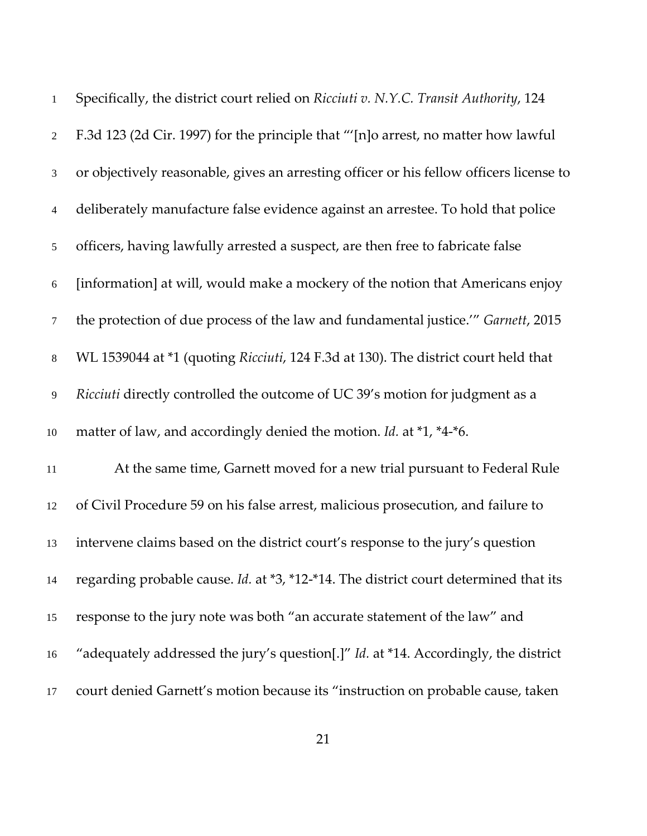| $\mathbf{1}$   | Specifically, the district court relied on Ricciuti v. N.Y.C. Transit Authority, 124       |
|----------------|--------------------------------------------------------------------------------------------|
| $\overline{2}$ | F.3d 123 (2d Cir. 1997) for the principle that "'[n]o arrest, no matter how lawful         |
| 3              | or objectively reasonable, gives an arresting officer or his fellow officers license to    |
| 4              | deliberately manufacture false evidence against an arrestee. To hold that police           |
| 5              | officers, having lawfully arrested a suspect, are then free to fabricate false             |
| 6              | [information] at will, would make a mockery of the notion that Americans enjoy             |
| $\tau$         | the protection of due process of the law and fundamental justice." Garnett, 2015           |
| $\,8\,$        | WL 1539044 at *1 (quoting Ricciuti, 124 F.3d at 130). The district court held that         |
| 9              | Ricciuti directly controlled the outcome of UC 39's motion for judgment as a               |
| $10\,$         | matter of law, and accordingly denied the motion. Id. at *1, *4-*6.                        |
| 11             | At the same time, Garnett moved for a new trial pursuant to Federal Rule                   |
| 12             | of Civil Procedure 59 on his false arrest, malicious prosecution, and failure to           |
| 13             | intervene claims based on the district court's response to the jury's question             |
| 14             | regarding probable cause. Id. at *3, *12-*14. The district court determined that its       |
| 15             | response to the jury note was both "an accurate statement of the law" and                  |
| 16             | "adequately addressed the jury's question[.]" <i>Id.</i> at *14. Accordingly, the district |
| 17             | court denied Garnett's motion because its "instruction on probable cause, taken            |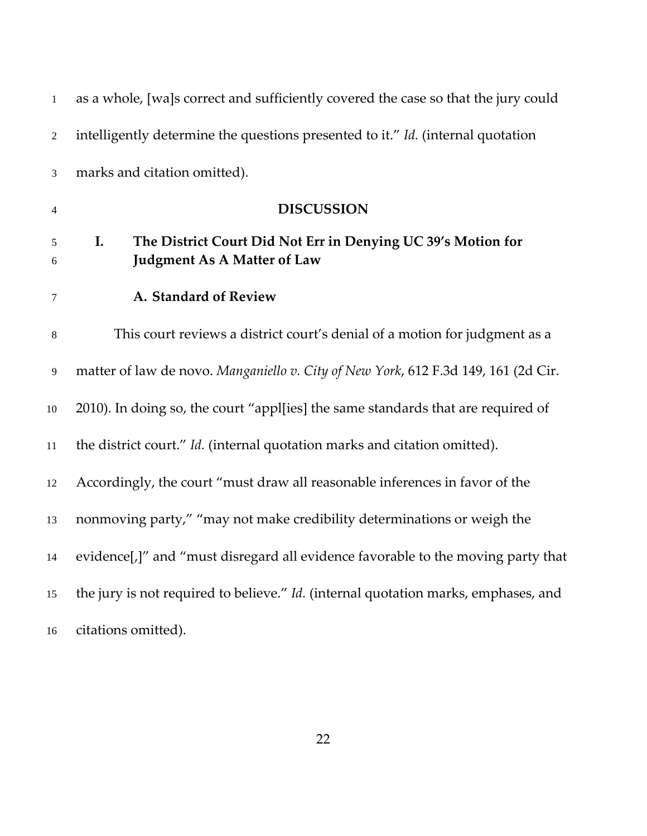| $\mathbf{1}$   | as a whole, [wa]s correct and sufficiently covered the case so that the jury could                       |
|----------------|----------------------------------------------------------------------------------------------------------|
| $\overline{2}$ | intelligently determine the questions presented to it." Id. (internal quotation                          |
| $\mathfrak{Z}$ | marks and citation omitted).                                                                             |
| 4              | <b>DISCUSSION</b>                                                                                        |
| 5<br>6         | The District Court Did Not Err in Denying UC 39's Motion for<br>I.<br><b>Judgment As A Matter of Law</b> |
| $\tau$         | A. Standard of Review                                                                                    |
| $\,8\,$        | This court reviews a district court's denial of a motion for judgment as a                               |
| 9              | matter of law de novo. Manganiello v. City of New York, 612 F.3d 149, 161 (2d Cir.                       |
| $10\,$         | 2010). In doing so, the court "appl[ies] the same standards that are required of                         |
| 11             | the district court." Id. (internal quotation marks and citation omitted).                                |
| 12             | Accordingly, the court "must draw all reasonable inferences in favor of the                              |
| 13             | nonmoving party," "may not make credibility determinations or weigh the                                  |
| 14             | evidence[,]" and "must disregard all evidence favorable to the moving party that                         |
| 15             | the jury is not required to believe." Id. (internal quotation marks, emphases, and                       |
| 16             | citations omitted).                                                                                      |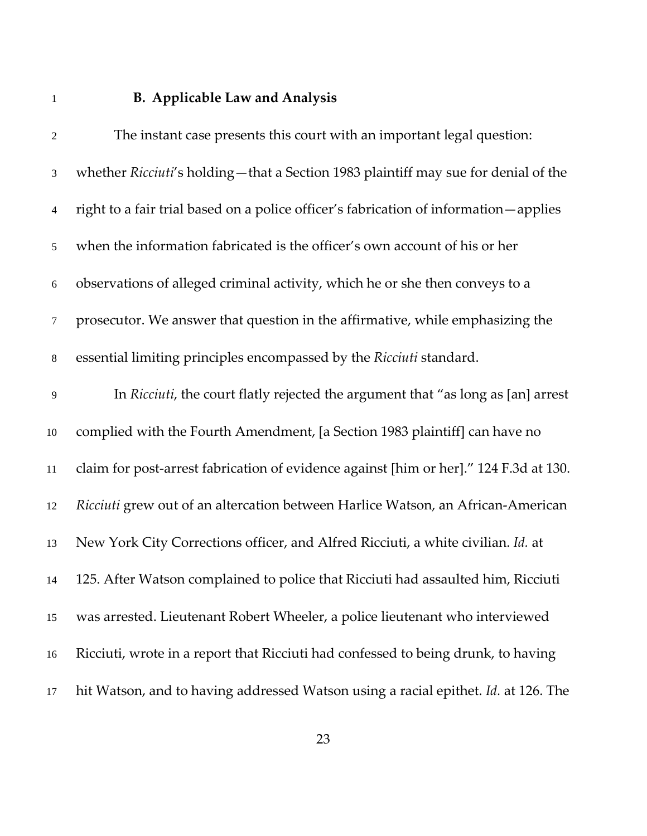# **B. Applicable Law and Analysis**

| $\sqrt{2}$       | The instant case presents this court with an important legal question:                 |
|------------------|----------------------------------------------------------------------------------------|
| 3                | whether Ricciuti's holding—that a Section 1983 plaintiff may sue for denial of the     |
| 4                | right to a fair trial based on a police officer's fabrication of information - applies |
| 5                | when the information fabricated is the officer's own account of his or her             |
| $\boldsymbol{6}$ | observations of alleged criminal activity, which he or she then conveys to a           |
| $\tau$           | prosecutor. We answer that question in the affirmative, while emphasizing the          |
| $\,8\,$          | essential limiting principles encompassed by the Ricciuti standard.                    |
| 9                | In Ricciuti, the court flatly rejected the argument that "as long as [an] arrest       |
| 10               | complied with the Fourth Amendment, [a Section 1983 plaintiff] can have no             |
| 11               | claim for post-arrest fabrication of evidence against [him or her]." 124 F.3d at 130.  |
| 12               | Ricciuti grew out of an altercation between Harlice Watson, an African-American        |
| 13               | New York City Corrections officer, and Alfred Ricciuti, a white civilian. Id. at       |
| 14               | 125. After Watson complained to police that Ricciuti had assaulted him, Ricciuti       |
| 15               | was arrested. Lieutenant Robert Wheeler, a police lieutenant who interviewed           |
| 16               | Ricciuti, wrote in a report that Ricciuti had confessed to being drunk, to having      |
| 17               | hit Watson, and to having addressed Watson using a racial epithet. Id. at 126. The     |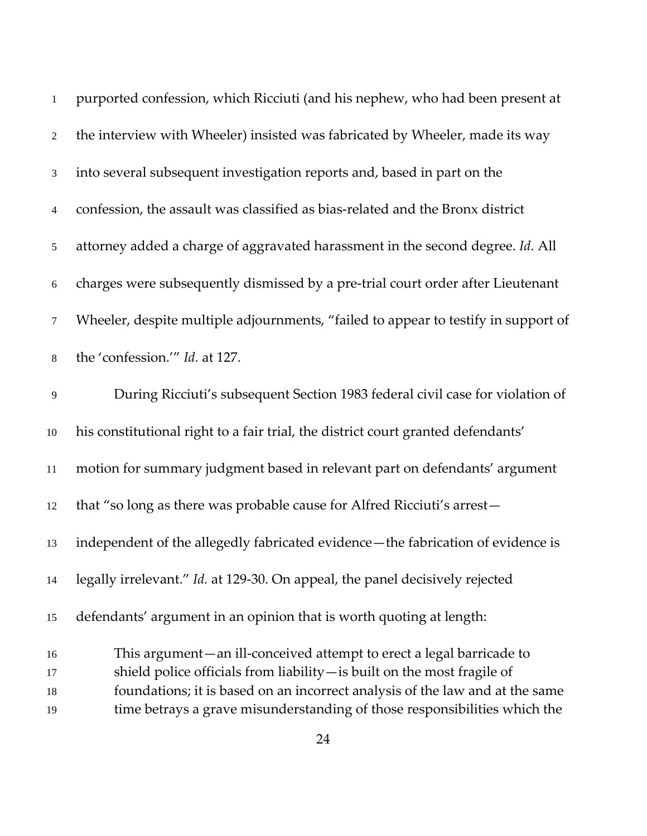| 1              | purported confession, which Ricciuti (and his nephew, who had been present at      |
|----------------|------------------------------------------------------------------------------------|
| $\overline{2}$ | the interview with Wheeler) insisted was fabricated by Wheeler, made its way       |
| 3              | into several subsequent investigation reports and, based in part on the            |
| 4              | confession, the assault was classified as bias-related and the Bronx district      |
| 5              | attorney added a charge of aggravated harassment in the second degree. Id. All     |
| $\sqrt{6}$     | charges were subsequently dismissed by a pre-trial court order after Lieutenant    |
| 7              | Wheeler, despite multiple adjournments, "failed to appear to testify in support of |
| $8\,$          | the 'confession.'" Id. at 127.                                                     |
| 9              | During Ricciuti's subsequent Section 1983 federal civil case for violation of      |
| 10             | his constitutional right to a fair trial, the district court granted defendants'   |
| $11\,$         | motion for summary judgment based in relevant part on defendants' argument         |
| 12             | that "so long as there was probable cause for Alfred Ricciuti's arrest-            |
| 13             | independent of the allegedly fabricated evidence-the fabrication of evidence is    |
| 14             | legally irrelevant." Id. at 129-30. On appeal, the panel decisively rejected       |
| 15             | defendants' argument in an opinion that is worth quoting at length:                |
| 16             | This argument—an ill-conceived attempt to erect a legal barricade to               |
| 17             | shield police officials from liability - is built on the most fragile of           |
| 18             | foundations; it is based on an incorrect analysis of the law and at the same       |
| 19             | time betrays a grave misunderstanding of those responsibilities which the          |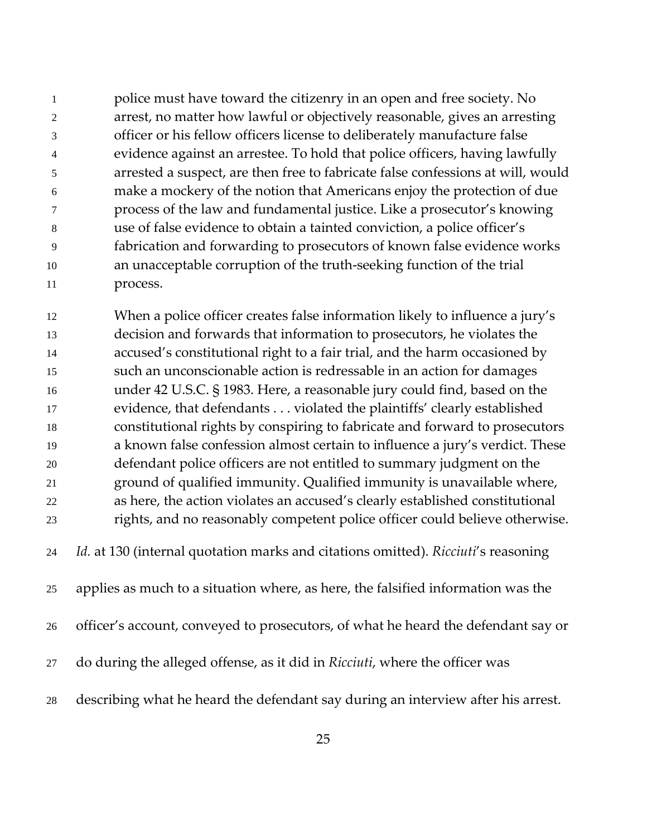police must have toward the citizenry in an open and free society. No arrest, no matter how lawful or objectively reasonable, gives an arresting officer or his fellow officers license to deliberately manufacture false evidence against an arrestee. To hold that police officers, having lawfully arrested a suspect, are then free to fabricate false confessions at will, would make a mockery of the notion that Americans enjoy the protection of due process of the law and fundamental justice. Like a prosecutor's knowing use of false evidence to obtain a tainted conviction, a police officer's fabrication and forwarding to prosecutors of known false evidence works 10 an unacceptable corruption of the truth-seeking function of the trial 11 process.

When a police officer creates false information likely to influence a jury's decision and forwards that information to prosecutors, he violates the accused's constitutional right to a fair trial, and the harm occasioned by such an unconscionable action is redressable in an action for damages under 42 U.S.C. § 1983. Here, a reasonable jury could find, based on the evidence, that defendants . . . violated the plaintiffs' clearly established constitutional rights by conspiring to fabricate and forward to prosecutors a known false confession almost certain to influence a jury's verdict. These defendant police officers are not entitled to summary judgment on the ground of qualified immunity. Qualified immunity is unavailable where, as here, the action violates an accused's clearly established constitutional rights, and no reasonably competent police officer could believe otherwise. *Id.* at 130 (internal quotation marks and citations omitted). *Ricciuti*'s reasoning applies as much to a situation where, as here, the falsified information was the officer's account, conveyed to prosecutors, of what he heard the defendant say or do during the alleged offense, as it did in *Ricciuti*, where the officer was

describing what he heard the defendant say during an interview after his arrest.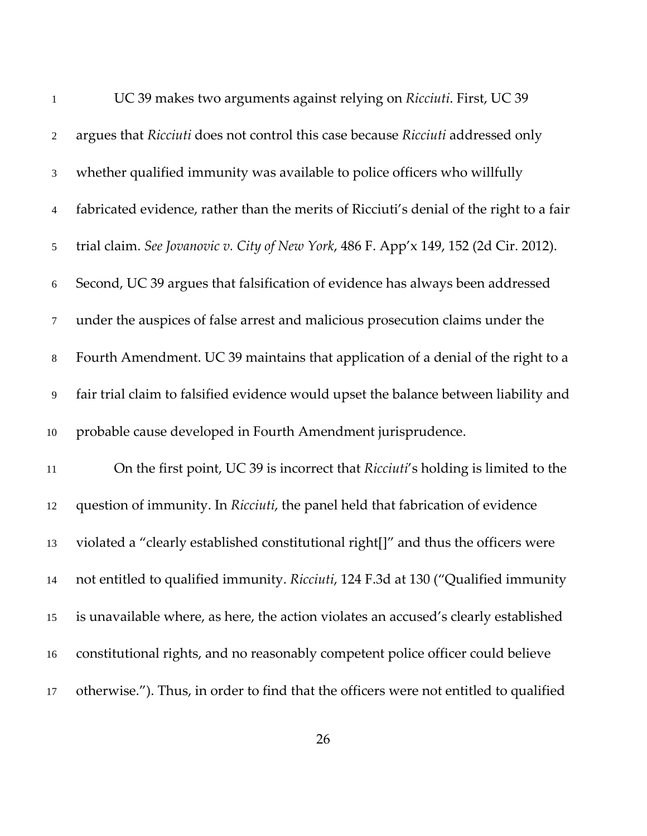| $\mathbf{1}$   | UC 39 makes two arguments against relying on Ricciuti. First, UC 39                     |
|----------------|-----------------------------------------------------------------------------------------|
| $\sqrt{2}$     | argues that Ricciuti does not control this case because Ricciuti addressed only         |
| $\mathfrak{Z}$ | whether qualified immunity was available to police officers who willfully               |
| $\overline{4}$ | fabricated evidence, rather than the merits of Ricciuti's denial of the right to a fair |
| 5              | trial claim. See Jovanovic v. City of New York, 486 F. App'x 149, 152 (2d Cir. 2012).   |
| 6              | Second, UC 39 argues that falsification of evidence has always been addressed           |
| $\tau$         | under the auspices of false arrest and malicious prosecution claims under the           |
| $8\,$          | Fourth Amendment. UC 39 maintains that application of a denial of the right to a        |
| 9              | fair trial claim to falsified evidence would upset the balance between liability and    |
| 10             | probable cause developed in Fourth Amendment jurisprudence.                             |
| 11             | On the first point, UC 39 is incorrect that Ricciuti's holding is limited to the        |
| 12             | question of immunity. In Ricciuti, the panel held that fabrication of evidence          |
| 13             | violated a "clearly established constitutional right[]" and thus the officers were      |
| 14             | not entitled to qualified immunity. Ricciuti, 124 F.3d at 130 ("Qualified immunity      |
| 15             | is unavailable where, as here, the action violates an accused's clearly established     |
| 16             | constitutional rights, and no reasonably competent police officer could believe         |
| 17             | otherwise."). Thus, in order to find that the officers were not entitled to qualified   |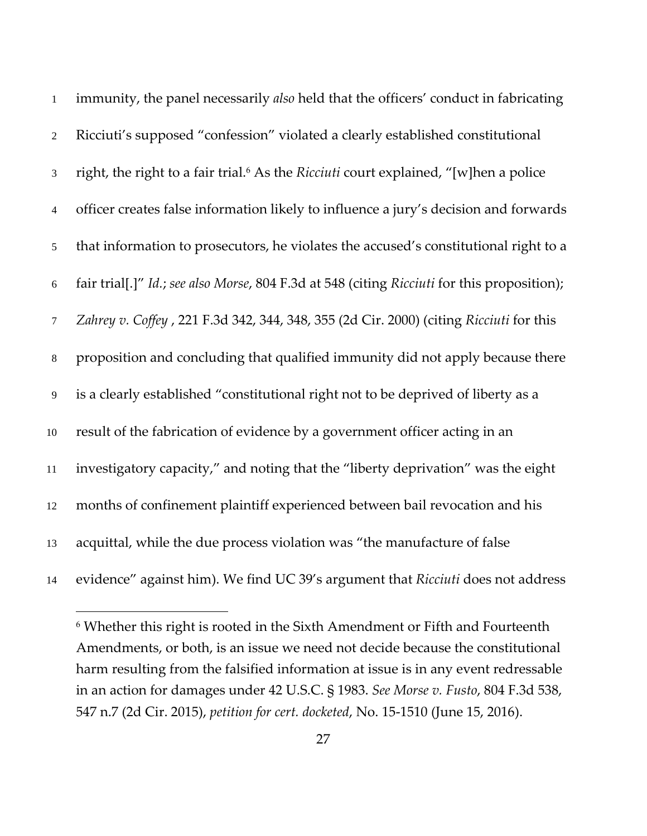| $\mathbf{1}$   | immunity, the panel necessarily also held that the officers' conduct in fabricating              |
|----------------|--------------------------------------------------------------------------------------------------|
| $\overline{2}$ | Ricciuti's supposed "confession" violated a clearly established constitutional                   |
| $\mathfrak{Z}$ | right, the right to a fair trial. <sup>6</sup> As the Ricciuti court explained, "[w]hen a police |
| $\overline{4}$ | officer creates false information likely to influence a jury's decision and forwards             |
| $\mathfrak{S}$ | that information to prosecutors, he violates the accused's constitutional right to a             |
| 6              | fair trial[.]" Id.; see also Morse, 804 F.3d at 548 (citing Ricciuti for this proposition);      |
| $\overline{7}$ | Zahrey v. Coffey, 221 F.3d 342, 344, 348, 355 (2d Cir. 2000) (citing Ricciuti for this           |
| $8\,$          | proposition and concluding that qualified immunity did not apply because there                   |
| $\overline{9}$ | is a clearly established "constitutional right not to be deprived of liberty as a                |
| $10\,$         | result of the fabrication of evidence by a government officer acting in an                       |
| 11             | investigatory capacity," and noting that the "liberty deprivation" was the eight                 |
| 12             | months of confinement plaintiff experienced between bail revocation and his                      |
| 13             | acquittal, while the due process violation was "the manufacture of false                         |
| 14             | evidence" against him). We find UC 39's argument that Ricciuti does not address                  |

 Whether this right is rooted in the Sixth Amendment or Fifth and Fourteenth Amendments, or both, is an issue we need not decide because the constitutional harm resulting from the falsified information at issue is in any event redressable in an action for damages under 42 U.S.C. § 1983. *See Morse v. Fusto*, 804 F.3d 538, n.7 (2d Cir. 2015), *petition for cert. docketed*, No. 15‐1510 (June 15, 2016).

 $\overline{a}$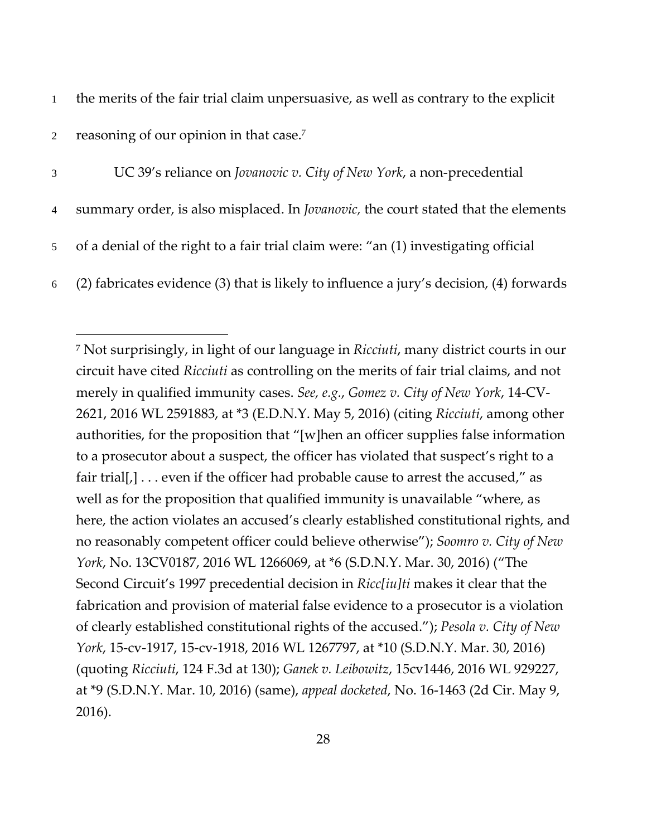1 the merits of the fair trial claim unpersuasive, as well as contrary to the explicit

2 reasoning of our opinion in that case.<sup>7</sup>

-

- 3 UC 39's reliance on *Jovanovic v. City of New York*, a non‐precedential
- 4 summary order, is also misplaced. In *Jovanovic,* the court stated that the elements
- 5 of a denial of the right to a fair trial claim were: "an (1) investigating official
- 6 (2) fabricates evidence (3) that is likely to influence a jury's decision, (4) forwards

<sup>7</sup> Not surprisingly, in light of our language in *Ricciuti*, many district courts in our circuit have cited *Ricciuti* as controlling on the merits of fair trial claims, and not merely in qualified immunity cases. *See, e.g.*, *Gomez v. City of New York*, 14‐CV‐ 2621, 2016 WL 2591883, at \*3 (E.D.N.Y. May 5, 2016) (citing *Ricciuti*, among other authorities, for the proposition that "[w]hen an officer supplies false information to a prosecutor about a suspect, the officer has violated that suspect's right to a fair trial[,] . . . even if the officer had probable cause to arrest the accused," as well as for the proposition that qualified immunity is unavailable "where, as here, the action violates an accused's clearly established constitutional rights, and no reasonably competent officer could believe otherwise"); *Soomro v. City of New York*, No. 13CV0187, 2016 WL 1266069, at \*6 (S.D.N.Y. Mar. 30, 2016) ("The Second Circuit's 1997 precedential decision in *Ricc[iu]ti* makes it clear that the fabrication and provision of material false evidence to a prosecutor is a violation of clearly established constitutional rights of the accused."); *Pesola v. City of New York*, 15‐cv‐1917, 15‐cv‐1918, 2016 WL 1267797, at \*10 (S.D.N.Y. Mar. 30, 2016) (quoting *Ricciuti*, 124 F.3d at 130); *Ganek v. Leibowitz*, 15cv1446, 2016 WL 929227, at \*9 (S.D.N.Y. Mar. 10, 2016) (same), *appeal docketed*, No. 16‐1463 (2d Cir. May 9, 2016).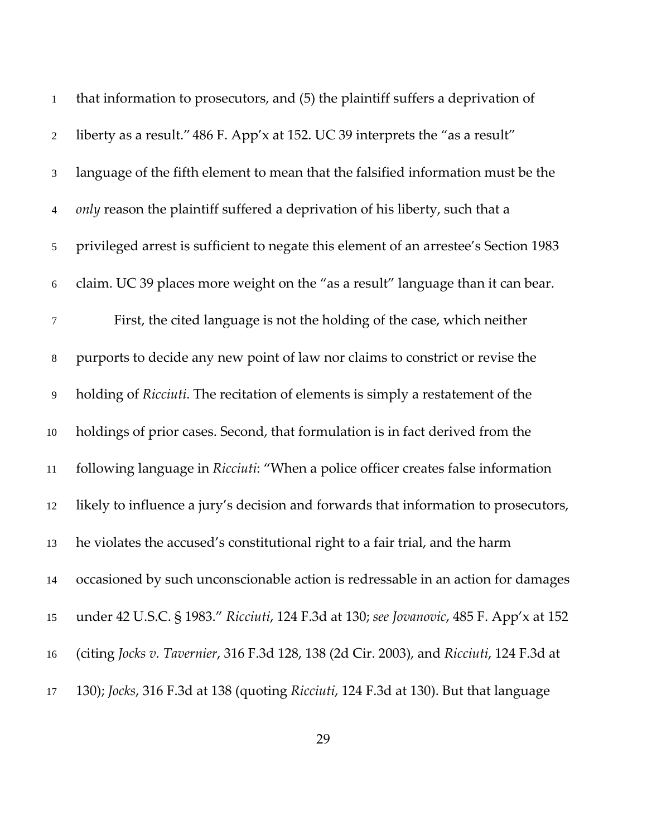| $\mathbf{1}$   | that information to prosecutors, and (5) the plaintiff suffers a deprivation of         |
|----------------|-----------------------------------------------------------------------------------------|
| $\overline{2}$ | liberty as a result." 486 F. App'x at 152. UC 39 interprets the "as a result"           |
| 3              | language of the fifth element to mean that the falsified information must be the        |
| $\overline{4}$ | only reason the plaintiff suffered a deprivation of his liberty, such that a            |
| $\mathfrak{S}$ | privileged arrest is sufficient to negate this element of an arrestee's Section 1983    |
| $6\,$          | claim. UC 39 places more weight on the "as a result" language than it can bear.         |
| $\tau$         | First, the cited language is not the holding of the case, which neither                 |
| 8              | purports to decide any new point of law nor claims to constrict or revise the           |
| 9              | holding of Ricciuti. The recitation of elements is simply a restatement of the          |
| $10\,$         | holdings of prior cases. Second, that formulation is in fact derived from the           |
| 11             | following language in Ricciuti: "When a police officer creates false information        |
| 12             | likely to influence a jury's decision and forwards that information to prosecutors,     |
| 13             | he violates the accused's constitutional right to a fair trial, and the harm            |
| 14             | occasioned by such unconscionable action is redressable in an action for damages        |
| 15             | under 42 U.S.C. § 1983." Ricciuti, 124 F.3d at 130; see Jovanovic, 485 F. App'x at 152  |
| 16             | (citing Jocks v. Tavernier, 316 F.3d 128, 138 (2d Cir. 2003), and Ricciuti, 124 F.3d at |
| 17             | 130); Jocks, 316 F.3d at 138 (quoting Ricciuti, 124 F.3d at 130). But that language     |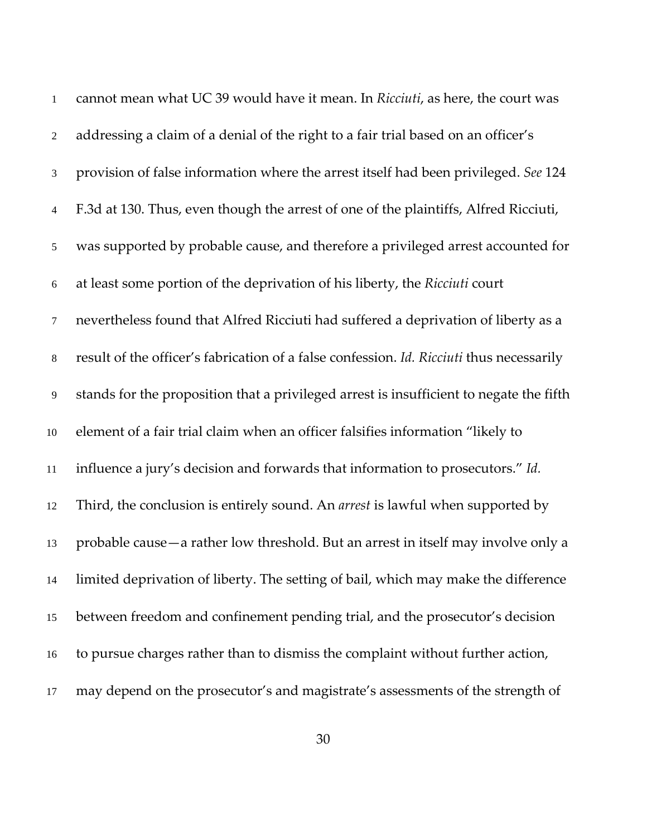| $\mathbf{1}$   | cannot mean what UC 39 would have it mean. In Ricciuti, as here, the court was           |
|----------------|------------------------------------------------------------------------------------------|
| $\sqrt{2}$     | addressing a claim of a denial of the right to a fair trial based on an officer's        |
| $\mathfrak{Z}$ | provision of false information where the arrest itself had been privileged. See 124      |
| $\overline{4}$ | F.3d at 130. Thus, even though the arrest of one of the plaintiffs, Alfred Ricciuti,     |
| $\mathfrak{S}$ | was supported by probable cause, and therefore a privileged arrest accounted for         |
| 6              | at least some portion of the deprivation of his liberty, the Ricciuti court              |
| $\tau$         | nevertheless found that Alfred Ricciuti had suffered a deprivation of liberty as a       |
| $8\,$          | result of the officer's fabrication of a false confession. Id. Ricciuti thus necessarily |
| 9              | stands for the proposition that a privileged arrest is insufficient to negate the fifth  |
| 10             | element of a fair trial claim when an officer falsifies information "likely to           |
| 11             | influence a jury's decision and forwards that information to prosecutors." Id.           |
| 12             | Third, the conclusion is entirely sound. An <i>arrest</i> is lawful when supported by    |
| 13             | probable cause - a rather low threshold. But an arrest in itself may involve only a      |
| 14             | limited deprivation of liberty. The setting of bail, which may make the difference       |
| 15             | between freedom and confinement pending trial, and the prosecutor's decision             |
| 16             | to pursue charges rather than to dismiss the complaint without further action,           |
| 17             | may depend on the prosecutor's and magistrate's assessments of the strength of           |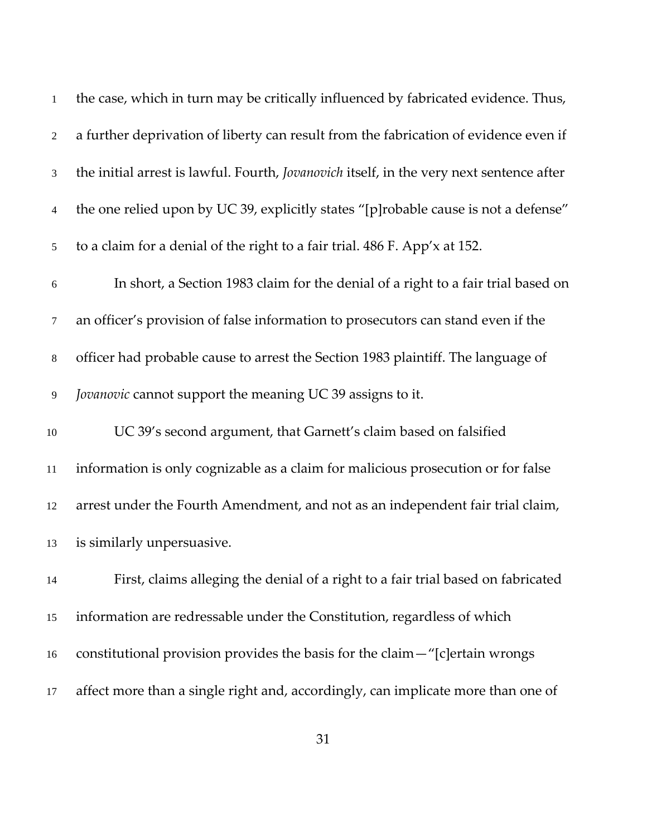| $\mathbf{1}$   | the case, which in turn may be critically influenced by fabricated evidence. Thus,              |
|----------------|-------------------------------------------------------------------------------------------------|
| $\overline{2}$ | a further deprivation of liberty can result from the fabrication of evidence even if            |
| 3              | the initial arrest is lawful. Fourth, <i>Jovanovich</i> itself, in the very next sentence after |
| $\overline{4}$ | the one relied upon by UC 39, explicitly states "[p]robable cause is not a defense"             |
| 5              | to a claim for a denial of the right to a fair trial. 486 F. App'x at 152.                      |
| 6              | In short, a Section 1983 claim for the denial of a right to a fair trial based on               |
| $\tau$         | an officer's provision of false information to prosecutors can stand even if the                |
| $8\,$          | officer had probable cause to arrest the Section 1983 plaintiff. The language of                |
| 9              | Jovanovic cannot support the meaning UC 39 assigns to it.                                       |
| $10\,$         | UC 39's second argument, that Garnett's claim based on falsified                                |
| $11\,$         | information is only cognizable as a claim for malicious prosecution or for false                |
| 12             | arrest under the Fourth Amendment, and not as an independent fair trial claim,                  |
| 13             | is similarly unpersuasive.                                                                      |
| 14             | First, claims alleging the denial of a right to a fair trial based on fabricated                |
| 15             | information are redressable under the Constitution, regardless of which                         |
| 16             | constitutional provision provides the basis for the claim - "[c] ertain wrongs                  |
| 17             | affect more than a single right and, accordingly, can implicate more than one of                |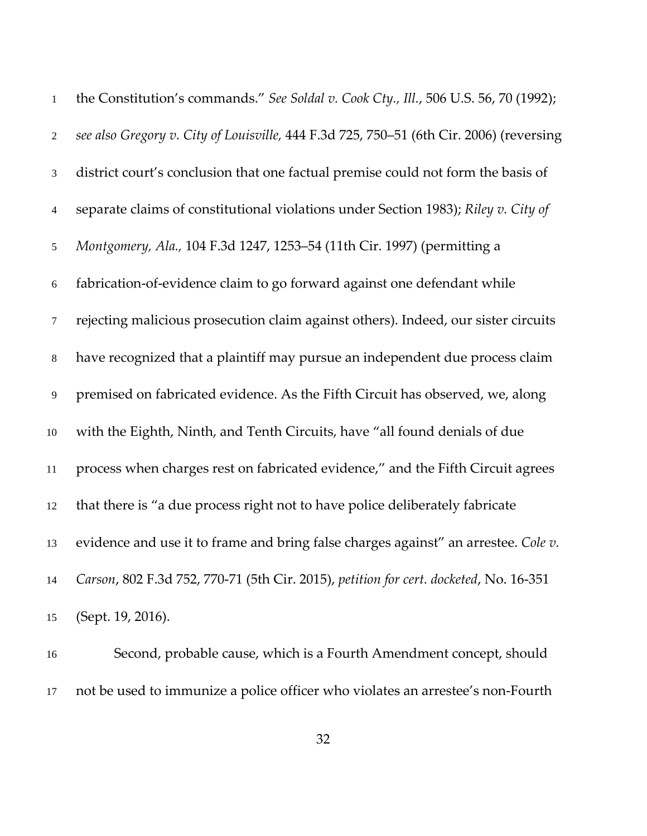| $1\,$            | the Constitution's commands." See Soldal v. Cook Cty., Ill., 506 U.S. 56, 70 (1992);    |
|------------------|-----------------------------------------------------------------------------------------|
| $\overline{2}$   | see also Gregory v. City of Louisville, 444 F.3d 725, 750-51 (6th Cir. 2006) (reversing |
| $\mathfrak{Z}$   | district court's conclusion that one factual premise could not form the basis of        |
| $\overline{4}$   | separate claims of constitutional violations under Section 1983); Riley v. City of      |
| 5                | Montgomery, Ala., 104 F.3d 1247, 1253-54 (11th Cir. 1997) (permitting a                 |
| $\sqrt{6}$       | fabrication-of-evidence claim to go forward against one defendant while                 |
| $\boldsymbol{7}$ | rejecting malicious prosecution claim against others). Indeed, our sister circuits      |
| $\,8\,$          | have recognized that a plaintiff may pursue an independent due process claim            |
| $\overline{9}$   | premised on fabricated evidence. As the Fifth Circuit has observed, we, along           |
| $10\,$           | with the Eighth, Ninth, and Tenth Circuits, have "all found denials of due              |
| 11               | process when charges rest on fabricated evidence," and the Fifth Circuit agrees         |
| 12               | that there is "a due process right not to have police deliberately fabricate            |
| 13               | evidence and use it to frame and bring false charges against" an arrestee. Cole v.      |
| 14               | Carson, 802 F.3d 752, 770-71 (5th Cir. 2015), petition for cert. docketed, No. 16-351   |
| 15               | (Sept. 19, 2016).                                                                       |

Second, probable cause, which is a Fourth Amendment concept, should not be used to immunize a police officer who violates an arrestee's non‐Fourth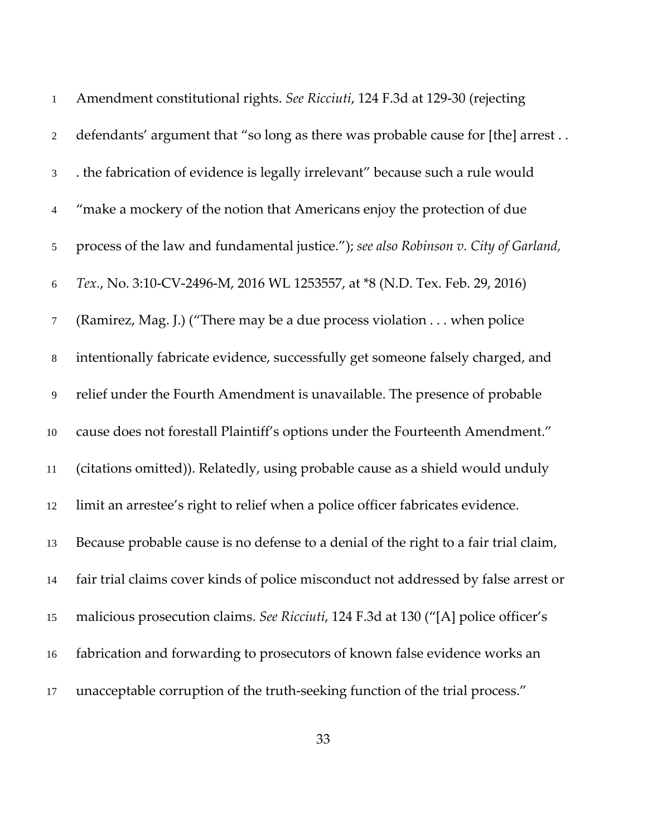| $\mathbf{1}$   | Amendment constitutional rights. See Ricciuti, 124 F.3d at 129-30 (rejecting         |
|----------------|--------------------------------------------------------------------------------------|
| $\overline{2}$ | defendants' argument that "so long as there was probable cause for [the] arrest      |
| $\mathfrak{Z}$ | . the fabrication of evidence is legally irrelevant" because such a rule would       |
| $\overline{4}$ | "make a mockery of the notion that Americans enjoy the protection of due             |
| $\mathfrak{S}$ | process of the law and fundamental justice."); see also Robinson v. City of Garland, |
| 6              | Tex., No. 3:10-CV-2496-M, 2016 WL 1253557, at *8 (N.D. Tex. Feb. 29, 2016)           |
| $\tau$         | (Ramirez, Mag. J.) ("There may be a due process violation when police                |
| $8\,$          | intentionally fabricate evidence, successfully get someone falsely charged, and      |
| 9              | relief under the Fourth Amendment is unavailable. The presence of probable           |
| 10             | cause does not forestall Plaintiff's options under the Fourteenth Amendment."        |
| $11\,$         | (citations omitted)). Relatedly, using probable cause as a shield would unduly       |
| 12             | limit an arrestee's right to relief when a police officer fabricates evidence.       |
| 13             | Because probable cause is no defense to a denial of the right to a fair trial claim, |
| 14             | fair trial claims cover kinds of police misconduct not addressed by false arrest or  |
| 15             | malicious prosecution claims. See Ricciuti, 124 F.3d at 130 ("[A] police officer's   |
| 16             | fabrication and forwarding to prosecutors of known false evidence works an           |
| 17             | unacceptable corruption of the truth-seeking function of the trial process."         |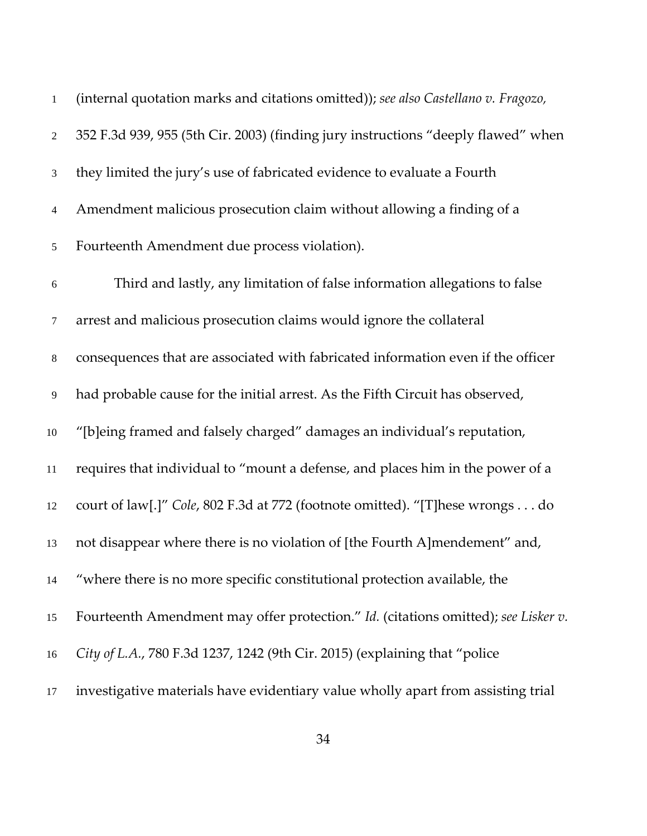| $\,1\,$        | (internal quotation marks and citations omitted)); see also Castellano v. Fragozo, |
|----------------|------------------------------------------------------------------------------------|
| $\overline{2}$ | 352 F.3d 939, 955 (5th Cir. 2003) (finding jury instructions "deeply flawed" when  |
| 3              | they limited the jury's use of fabricated evidence to evaluate a Fourth            |
| $\overline{4}$ | Amendment malicious prosecution claim without allowing a finding of a              |
| 5              | Fourteenth Amendment due process violation).                                       |
| $\sqrt{6}$     | Third and lastly, any limitation of false information allegations to false         |
| 7              | arrest and malicious prosecution claims would ignore the collateral                |
| $8\,$          | consequences that are associated with fabricated information even if the officer   |
| $\overline{9}$ | had probable cause for the initial arrest. As the Fifth Circuit has observed,      |
| 10             | "[b]eing framed and falsely charged" damages an individual's reputation,           |
| $11\,$         | requires that individual to "mount a defense, and places him in the power of a     |
| 12             | court of law[.]" Cole, 802 F.3d at 772 (footnote omitted). "[T]hese wrongs do      |
| 13             | not disappear where there is no violation of [the Fourth A]mendement" and,         |
| 14             | "where there is no more specific constitutional protection available, the          |
| 15             | Fourteenth Amendment may offer protection." Id. (citations omitted); see Lisker v. |
| 16             | City of L.A., 780 F.3d 1237, 1242 (9th Cir. 2015) (explaining that "police         |
| 17             | investigative materials have evidentiary value wholly apart from assisting trial   |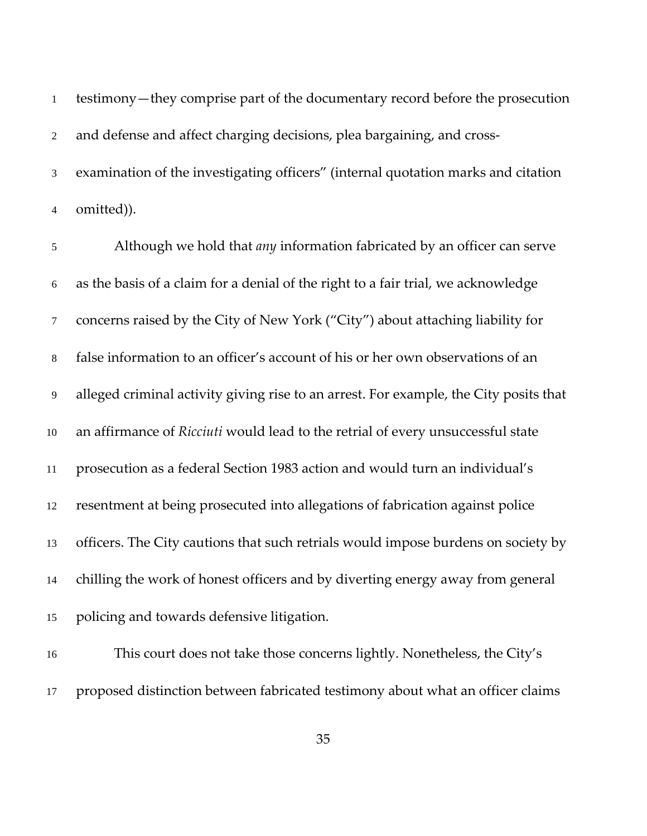testimony—they comprise part of the documentary record before the prosecution 2 and defense and affect charging decisions, plea bargaining, and cross-examination of the investigating officers" (internal quotation marks and citation omitted)).

Although we hold that *any* information fabricated by an officer can serve as the basis of a claim for a denial of the right to a fair trial, we acknowledge concerns raised by the City of New York ("City") about attaching liability for false information to an officer's account of his or her own observations of an alleged criminal activity giving rise to an arrest. For example, the City posits that an affirmance of *Ricciuti* would lead to the retrial of every unsuccessful state prosecution as a federal Section 1983 action and would turn an individual's resentment at being prosecuted into allegations of fabrication against police officers. The City cautions that such retrials would impose burdens on society by chilling the work of honest officers and by diverting energy away from general policing and towards defensive litigation.

This court does not take those concerns lightly. Nonetheless, the City's proposed distinction between fabricated testimony about what an officer claims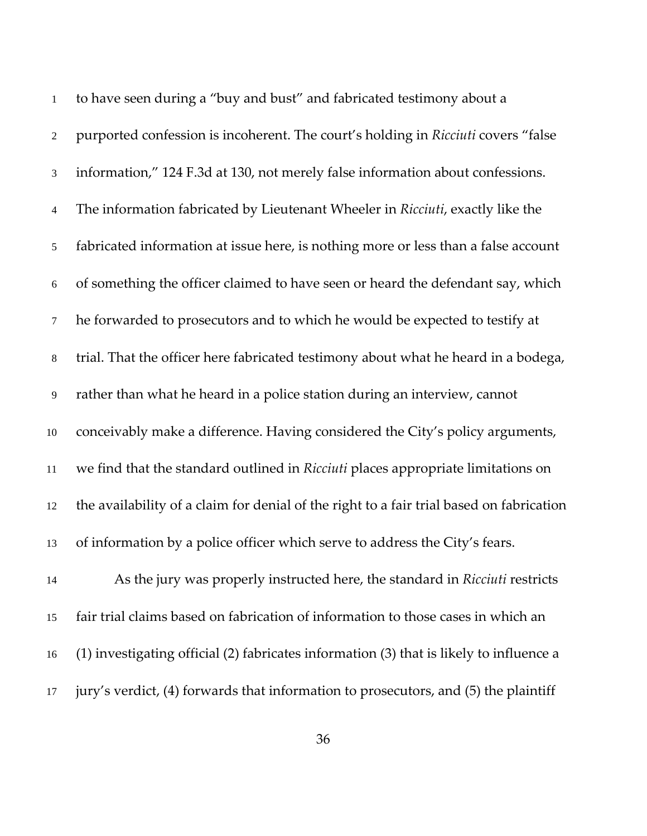| $\mathbf{1}$   | to have seen during a "buy and bust" and fabricated testimony about a                    |
|----------------|------------------------------------------------------------------------------------------|
| $\sqrt{2}$     | purported confession is incoherent. The court's holding in Ricciuti covers "false        |
| $\mathfrak{Z}$ | information," 124 F.3d at 130, not merely false information about confessions.           |
| $\overline{4}$ | The information fabricated by Lieutenant Wheeler in Ricciuti, exactly like the           |
| $\mathfrak{S}$ | fabricated information at issue here, is nothing more or less than a false account       |
| $\sqrt{6}$     | of something the officer claimed to have seen or heard the defendant say, which          |
| $\tau$         | he forwarded to prosecutors and to which he would be expected to testify at              |
| $\,8\,$        | trial. That the officer here fabricated testimony about what he heard in a bodega,       |
| $\overline{9}$ | rather than what he heard in a police station during an interview, cannot                |
| $10\,$         | conceivably make a difference. Having considered the City's policy arguments,            |
| $11\,$         | we find that the standard outlined in Ricciuti places appropriate limitations on         |
| 12             | the availability of a claim for denial of the right to a fair trial based on fabrication |
| 13             | of information by a police officer which serve to address the City's fears.              |
| 14             | As the jury was properly instructed here, the standard in Ricciuti restricts             |
| 15             | fair trial claims based on fabrication of information to those cases in which an         |
| 16             | (1) investigating official (2) fabricates information (3) that is likely to influence a  |
| 17             | jury's verdict, (4) forwards that information to prosecutors, and (5) the plaintiff      |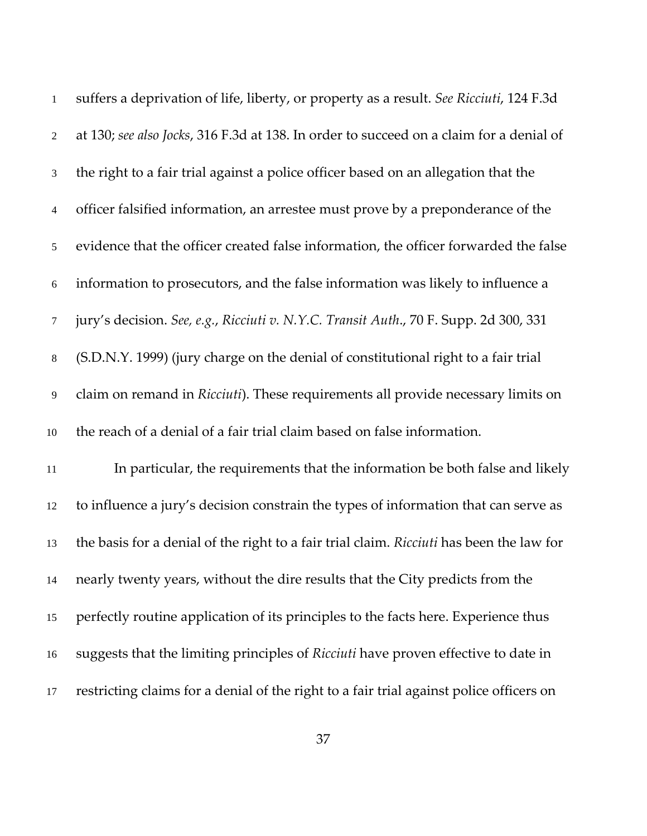| $\mathbf{1}$   | suffers a deprivation of life, liberty, or property as a result. See Ricciuti, 124 F.3d  |
|----------------|------------------------------------------------------------------------------------------|
| $\overline{2}$ | at 130; see also Jocks, 316 F.3d at 138. In order to succeed on a claim for a denial of  |
| $\mathfrak{Z}$ | the right to a fair trial against a police officer based on an allegation that the       |
| $\overline{4}$ | officer falsified information, an arrestee must prove by a preponderance of the          |
| 5              | evidence that the officer created false information, the officer forwarded the false     |
| $6\,$          | information to prosecutors, and the false information was likely to influence a          |
| $\overline{7}$ | jury's decision. See, e.g., Ricciuti v. N.Y.C. Transit Auth., 70 F. Supp. 2d 300, 331    |
| $8\,$          | (S.D.N.Y. 1999) (jury charge on the denial of constitutional right to a fair trial       |
| 9              | claim on remand in Ricciuti). These requirements all provide necessary limits on         |
| 10             | the reach of a denial of a fair trial claim based on false information.                  |
| 11             | In particular, the requirements that the information be both false and likely            |
| 12             | to influence a jury's decision constrain the types of information that can serve as      |
| 13             | the basis for a denial of the right to a fair trial claim. Ricciuti has been the law for |
| 14             | nearly twenty years, without the dire results that the City predicts from the            |
| 15             | perfectly routine application of its principles to the facts here. Experience thus       |
| 16             | suggests that the limiting principles of Ricciuti have proven effective to date in       |
| 17             | restricting claims for a denial of the right to a fair trial against police officers on  |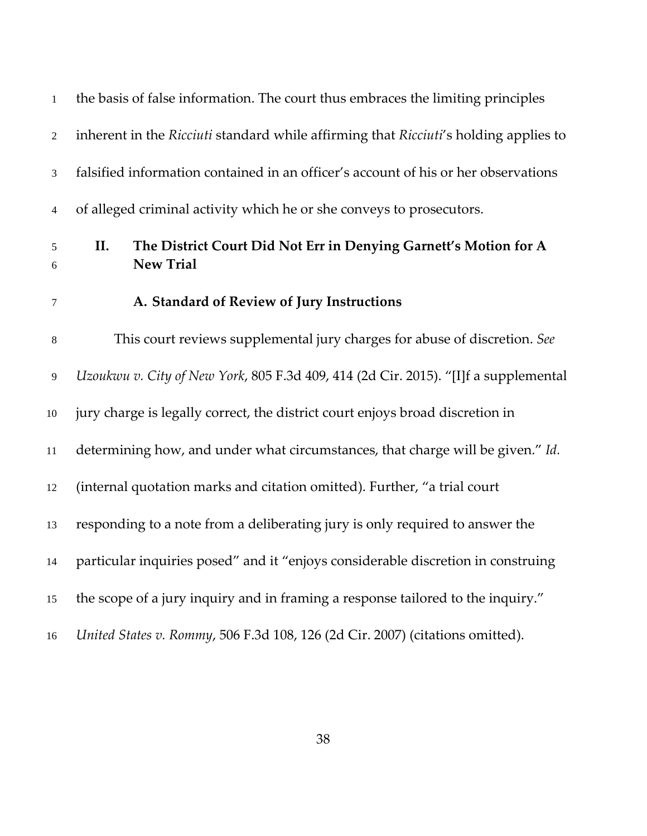| $\mathbf 1$                 | the basis of false information. The court thus embraces the limiting principles             |
|-----------------------------|---------------------------------------------------------------------------------------------|
| $\sqrt{2}$                  | inherent in the Ricciuti standard while affirming that Ricciuti's holding applies to        |
| $\ensuremath{\mathfrak{Z}}$ | falsified information contained in an officer's account of his or her observations          |
| $\overline{4}$              | of alleged criminal activity which he or she conveys to prosecutors.                        |
| 5<br>6                      | II.<br>The District Court Did Not Err in Denying Garnett's Motion for A<br><b>New Trial</b> |
| $\tau$                      | A. Standard of Review of Jury Instructions                                                  |
| $\,8\,$                     | This court reviews supplemental jury charges for abuse of discretion. See                   |
| $\overline{9}$              | Uzoukwu v. City of New York, 805 F.3d 409, 414 (2d Cir. 2015). "[I]f a supplemental         |
| $10\,$                      | jury charge is legally correct, the district court enjoys broad discretion in               |
| 11                          | determining how, and under what circumstances, that charge will be given." Id.              |
| 12                          | (internal quotation marks and citation omitted). Further, "a trial court                    |
| 13                          | responding to a note from a deliberating jury is only required to answer the                |
| 14                          | particular inquiries posed" and it "enjoys considerable discretion in construing            |
| 15                          | the scope of a jury inquiry and in framing a response tailored to the inquiry."             |
| 16                          | United States v. Rommy, 506 F.3d 108, 126 (2d Cir. 2007) (citations omitted).               |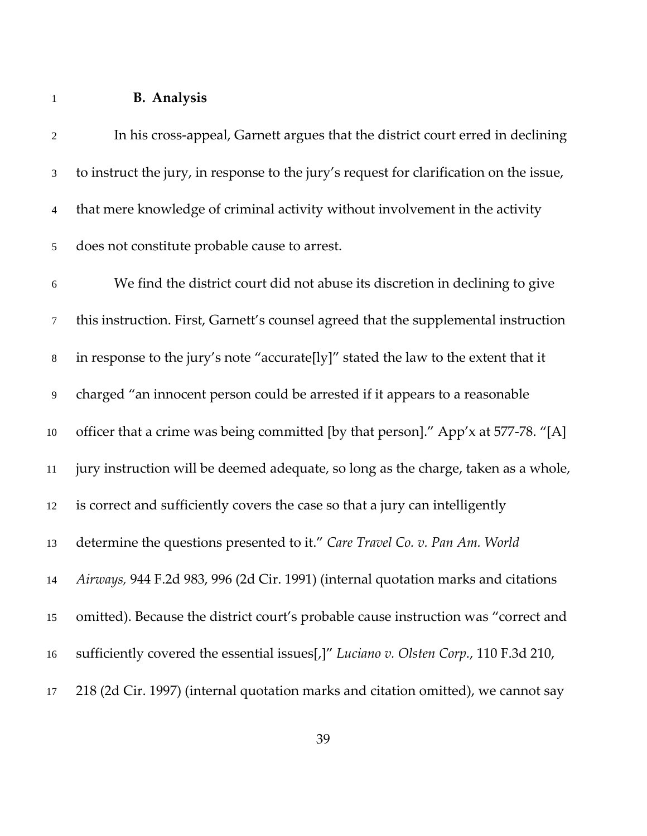## **B. Analysis**

| $\sqrt{2}$     | In his cross-appeal, Garnett argues that the district court erred in declining          |
|----------------|-----------------------------------------------------------------------------------------|
| $\mathfrak{Z}$ | to instruct the jury, in response to the jury's request for clarification on the issue, |
| $\overline{4}$ | that mere knowledge of criminal activity without involvement in the activity            |
| 5              | does not constitute probable cause to arrest.                                           |
| $\sqrt{6}$     | We find the district court did not abuse its discretion in declining to give            |
| 7              | this instruction. First, Garnett's counsel agreed that the supplemental instruction     |
| $8\,$          | in response to the jury's note "accurate[ly]" stated the law to the extent that it      |
| 9              | charged "an innocent person could be arrested if it appears to a reasonable             |
| $10\,$         | officer that a crime was being committed [by that person]." App'x at 577-78. "[A]       |
| 11             | jury instruction will be deemed adequate, so long as the charge, taken as a whole,      |
| 12             | is correct and sufficiently covers the case so that a jury can intelligently            |
| 13             | determine the questions presented to it." Care Travel Co. v. Pan Am. World              |
| 14             | Airways, 944 F.2d 983, 996 (2d Cir. 1991) (internal quotation marks and citations       |
| 15             | omitted). Because the district court's probable cause instruction was "correct and      |
| 16             | sufficiently covered the essential issues[,]" Luciano v. Olsten Corp., 110 F.3d 210,    |
| 17             | 218 (2d Cir. 1997) (internal quotation marks and citation omitted), we cannot say       |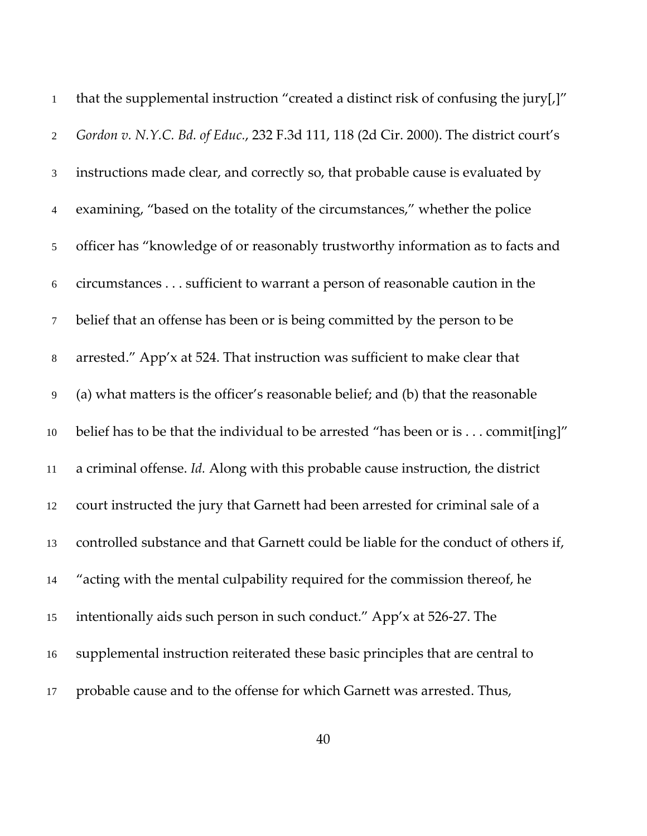| $\mathbf{1}$   | that the supplemental instruction "created a distinct risk of confusing the jury[,]"  |
|----------------|---------------------------------------------------------------------------------------|
| $\overline{2}$ | Gordon v. N.Y.C. Bd. of Educ., 232 F.3d 111, 118 (2d Cir. 2000). The district court's |
| 3              | instructions made clear, and correctly so, that probable cause is evaluated by        |
| $\overline{4}$ | examining, "based on the totality of the circumstances," whether the police           |
| $\mathfrak{S}$ | officer has "knowledge of or reasonably trustworthy information as to facts and       |
| $\sqrt{6}$     | circumstances sufficient to warrant a person of reasonable caution in the             |
| $\tau$         | belief that an offense has been or is being committed by the person to be             |
| $\,8\,$        | arrested." App'x at 524. That instruction was sufficient to make clear that           |
| 9              | (a) what matters is the officer's reasonable belief; and (b) that the reasonable      |
| $10\,$         | belief has to be that the individual to be arrested "has been or is commit[ing]"      |
| 11             | a criminal offense. Id. Along with this probable cause instruction, the district      |
| 12             | court instructed the jury that Garnett had been arrested for criminal sale of a       |
| 13             | controlled substance and that Garnett could be liable for the conduct of others if,   |
| 14             | "acting with the mental culpability required for the commission thereof, he           |
| 15             | intentionally aids such person in such conduct." App'x at 526-27. The                 |
| 16             | supplemental instruction reiterated these basic principles that are central to        |
| 17             | probable cause and to the offense for which Garnett was arrested. Thus,               |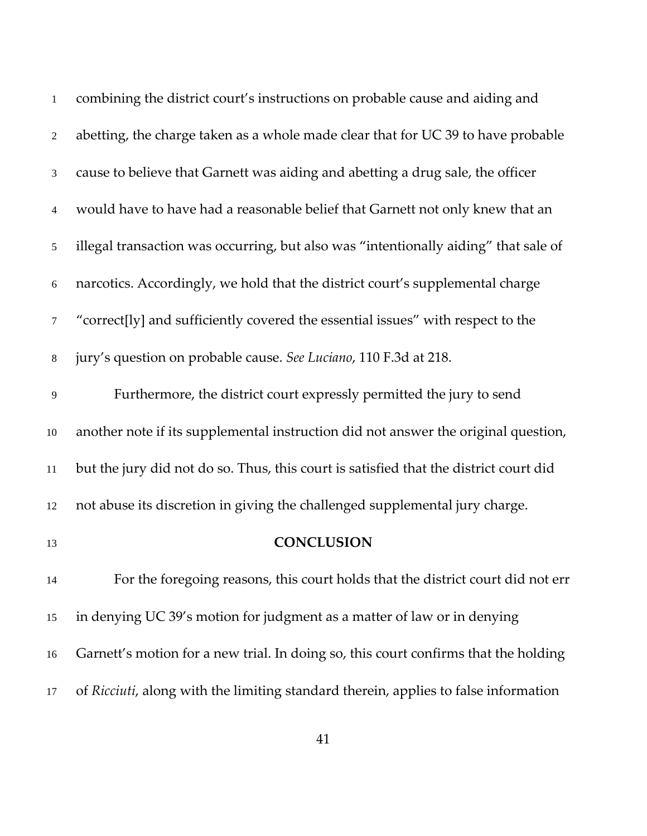| $\mathbf{1}$   | combining the district court's instructions on probable cause and aiding and          |
|----------------|---------------------------------------------------------------------------------------|
| $\overline{2}$ | abetting, the charge taken as a whole made clear that for UC 39 to have probable      |
| 3              | cause to believe that Garnett was aiding and abetting a drug sale, the officer        |
| 4              | would have to have had a reasonable belief that Garnett not only knew that an         |
| 5              | illegal transaction was occurring, but also was "intentionally aiding" that sale of   |
| 6              | narcotics. Accordingly, we hold that the district court's supplemental charge         |
| 7              | "correct[ly] and sufficiently covered the essential issues" with respect to the       |
| $8\,$          | jury's question on probable cause. See Luciano, 110 F.3d at 218.                      |
| $\overline{9}$ | Furthermore, the district court expressly permitted the jury to send                  |
| 10             | another note if its supplemental instruction did not answer the original question,    |
| 11             | but the jury did not do so. Thus, this court is satisfied that the district court did |
| 12             | not abuse its discretion in giving the challenged supplemental jury charge.           |
| 13             | <b>CONCLUSION</b>                                                                     |
| 14             | For the foregoing reasons, this court holds that the district court did not err       |
| 15             | in denying UC 39's motion for judgment as a matter of law or in denying               |
| 16             | Garnett's motion for a new trial. In doing so, this court confirms that the holding   |
| 17             | of Ricciuti, along with the limiting standard therein, applies to false information   |